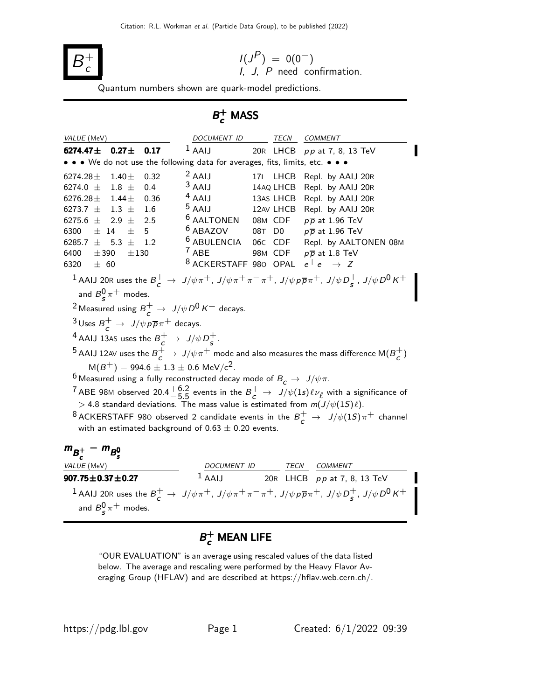

$$
I(JP) = 0(0-)
$$
  
*I*, *J*, *P* need confirmation.

Quantum numbers shown are quark-model predictions.

# $B_c^+$  MASS

| VALUE (MeV)                                                                            |            |                  | DOCUMENT ID TECN                                                                                   |           | COMMENT                                                                                                                                                                   |
|----------------------------------------------------------------------------------------|------------|------------------|----------------------------------------------------------------------------------------------------|-----------|---------------------------------------------------------------------------------------------------------------------------------------------------------------------------|
| 6274.47 $\pm$                                                                          | $0.27 \pm$ | 0.17             | $1$ AAIJ                                                                                           |           | 20R LHCB pp at 7, 8, 13 TeV                                                                                                                                               |
|                                                                                        |            |                  | • • We do not use the following data for averages, fits, limits, etc. • • •                        |           |                                                                                                                                                                           |
| 6274.28 $\pm$                                                                          | $1.40 \pm$ | 0.32             | $2$ AAIJ                                                                                           | 17L LHCB  | Repl. by AAIJ 20R                                                                                                                                                         |
| 6274.0 $\pm$ 1.8 $\pm$                                                                 |            | 0.4              | $3$ AAIJ                                                                                           | 14AQ LHCB | Repl. by AAIJ 20R                                                                                                                                                         |
| 6276.28 $\pm$ 1.44 $\pm$                                                               |            | 0.36             | $4$ AAIJ                                                                                           | 13AS LHCB | Repl. by AAIJ 20R                                                                                                                                                         |
| 6273.7 $\pm$ 1.3 $\pm$                                                                 |            | $1.6\phantom{0}$ | $5$ AAIJ                                                                                           | 12AV LHCB | Repl. by AAIJ 20R                                                                                                                                                         |
| 6275.6 $\pm$ 2.9 $\pm$                                                                 |            | 2.5              | <sup>6</sup> AALTONEN                                                                              | 08M CDF   | $p\overline{p}$ at 1.96 TeV                                                                                                                                               |
| $\pm$ 14<br>6300                                                                       | $\pm$      | 5                | <sup>6</sup> ABAZOV                                                                                | 08T D0    | $p\overline{p}$ at 1.96 TeV                                                                                                                                               |
| 6285.7 $\pm$ 5.3 $\pm$                                                                 |            | 1.2              | <sup>6</sup> ABULENCIA 06C CDF                                                                     |           | Repl. by AALTONEN 08M                                                                                                                                                     |
| $\pm$ 390<br>6400                                                                      | ±130       |                  | $7$ ABE                                                                                            |           | 98M CDF $p\overline{p}$ at 1.8 TeV                                                                                                                                        |
| 6320 $\pm$ 60                                                                          |            |                  | <sup>8</sup> ACKERSTAFF 980 OPAL $e^+e^- \rightarrow Z$                                            |           |                                                                                                                                                                           |
|                                                                                        |            |                  |                                                                                                    |           | 1 AAIJ 20R uses the $B_c^+$ $\rightarrow$ $J/\psi \pi^+$ , $J/\psi \pi^+ \pi^- \pi^+$ , $J/\psi \rho \overline{\rho} \pi^+$ , $J/\psi D_s^+$ , $J/\psi D^0 K^+$           |
| and $B_{\rm s}^0 \pi^+$ modes.                                                         |            |                  |                                                                                                    |           |                                                                                                                                                                           |
|                                                                                        |            |                  | <sup>2</sup> Measured using $B_c^+ \rightarrow J/\psi D^0 K^+$ decays.                             |           |                                                                                                                                                                           |
| $3 \text{ Uses } B^+_{\epsilon} \rightarrow J/\psi \rho \overline{\rho} \pi^+$ decays. |            |                  |                                                                                                    |           |                                                                                                                                                                           |
| <sup>4</sup> AAIJ 13AS uses the $B_{\epsilon}^+ \rightarrow J/\psi D_{\epsilon}^+$ .   |            |                  |                                                                                                    |           |                                                                                                                                                                           |
|                                                                                        |            |                  |                                                                                                    |           | $^5$ AAIJ 12AV uses the $B^+_{\epsilon} \to J/\psi \pi^+$ mode and also measures the mass difference M( $B^+_{\epsilon}$ )                                                |
|                                                                                        |            |                  | $-M(B^+) = 994.6 \pm 1.3 \pm 0.6 \text{ MeV}/c^2$ .                                                |           |                                                                                                                                                                           |
|                                                                                        |            |                  | $^6$ Measured using a fully reconstructed decay mode of $B_{\cal C}\, \rightarrow\, \, J/\psi\pi.$ |           |                                                                                                                                                                           |
|                                                                                        |            |                  |                                                                                                    |           | <sup>7</sup> ABE 98M observed 20.4 $+6.2$ events in the $B_c^+$ $\rightarrow$ $J/\psi(1s)\ell\nu_{\ell}$ with a significance of                                           |
|                                                                                        |            |                  |                                                                                                    |           | > 4.8 standard deviations. The mass value is estimated from $m(J/\psi(1S)\ell)$ .                                                                                         |
|                                                                                        |            |                  |                                                                                                    |           |                                                                                                                                                                           |
|                                                                                        |            |                  |                                                                                                    |           | <sup>8</sup> ACKERSTAFF 980 observed 2 candidate events in the $B^+_\epsilon\to J/\psi(1S)\pi^+$ channel                                                                  |
|                                                                                        |            |                  | with an estimated background of $0.63 \pm 0.20$ events.                                            |           |                                                                                                                                                                           |
| $m_{B_c^+} - m_{B_c^0}$                                                                |            |                  |                                                                                                    |           |                                                                                                                                                                           |
| VALUE (MeV)                                                                            |            |                  |                                                                                                    |           |                                                                                                                                                                           |
| $907.75 \pm 0.37 \pm 0.27$                                                             |            |                  |                                                                                                    |           | $\begin{array}{cc}\n & \text{DOCUMENT ID} & \text{TECN} & \text{COMMENT} \\ \hline\n1 \text{ AAIJ} & 20 \text{R} & \text{LHCB} & p \text{p at 7, 8, 13 TeV}\n\end{array}$ |
|                                                                                        |            |                  |                                                                                                    |           | 1 AAIJ 20R uses the $B^+_c\to J/\psi\pi^+$ , $J/\psi\pi^+\pi^-\pi^+$ , $J/\psi\bar{p}\bar{p}\pi^+$ , $J/\psi D^+_s$ , $J/\psi D^0 K^+$                                    |
|                                                                                        |            |                  |                                                                                                    |           |                                                                                                                                                                           |
| and $B_{\rm s}^0 \pi^+$ modes.                                                         |            |                  |                                                                                                    |           |                                                                                                                                                                           |
|                                                                                        |            |                  |                                                                                                    |           |                                                                                                                                                                           |

# $B_c^+$  MEAN LIFE

"OUR EVALUATION" is an average using rescaled values of the data listed below. The average and rescaling were performed by the Heavy Flavor Averaging Group (HFLAV) and are described at https://hflav.web.cern.ch/.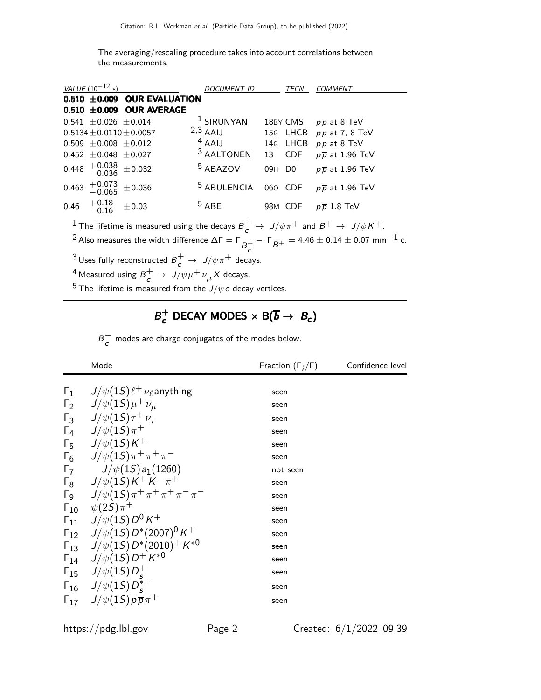The averaging/rescaling procedure takes into account correlations between the measurements.

| VALUE $(10^{-12} s)$                     |                    |                               | <b>DOCUMENT ID</b>     |                    | TECN     | <i>COMMENT</i>                      |
|------------------------------------------|--------------------|-------------------------------|------------------------|--------------------|----------|-------------------------------------|
|                                          |                    | 0.510 ±0.009 OUR EVALUATION   |                        |                    |          |                                     |
|                                          |                    | $0.510 \pm 0.009$ OUR AVERAGE |                        |                    |          |                                     |
| $0.541 \pm 0.026 \pm 0.014$              |                    |                               | $1$ SIRUNYAN           |                    |          | 18BY CMS pp at 8 TeV                |
| $0.5134 + 0.0110 + 0.0057$               |                    |                               | $2,3$ AAIJ             |                    | 15G LHCB | $pp$ at 7, 8 TeV                    |
| $0.509 \pm 0.008 \pm 0.012$              |                    |                               | $4$ AAIJ               |                    | 14G LHCB | pp at 8 TeV                         |
| $0.452 \pm 0.048 \pm 0.027$              |                    |                               | <sup>3</sup> AALTONEN  |                    | 13 CDF   | $p\overline{p}$ at 1.96 TeV         |
| $0.448$ $^{+0.038}_{-0.036}$ $\pm 0.032$ |                    |                               | <sup>5</sup> ABAZOV    | 09H D <sub>0</sub> |          | $p\overline{p}$ at 1.96 TeV         |
| 0.463                                    | $+0.073$<br>-0.065 | $\pm 0.036$                   | <sup>5</sup> ABULENCIA |                    |          | 060 CDF $p\overline{p}$ at 1.96 TeV |
| 0.46                                     | $+0.18$<br>-0.16   | $\pm 0.03$                    | $5$ ABE                |                    | 98M CDF  | $p\bar{p}$ 1.8 TeV                  |

 $1$  The lifetime is measured using the decays  $B_c^+ \rightarrow \ J/\psi \pi^+$  and  $B^+ \rightarrow \ J/\psi \, K^+.$ 

 $^2$  Also measures the width difference  $\Delta\Gamma=\Gamma_{\overline{\mathcal{B}}^+_{\mathcal{C}}}$  $-$  Г $_{B^+}$   $=$  4.46  $\pm$  0.14  $\pm$  0.07 mm $^{-1}$  c.

 $^3$ Uses fully reconstructed  $B_c^+ \rightarrow \ J/\psi \pi^+$  decays.

 $^4$  Measured using  $B_c^+ \rightarrow \; J/\psi \mu^+ \nu_{\mu} X$  decays.

<sup>5</sup> The lifetime is measured from the  $J/\psi e$  decay vertices.

### $B_c^+$  $c_c^+$  DECAY MODES  $\times$  B( $\overline{b}$   $\rightarrow$   $B_c$ )

 $B_{-}^{-}$  $\overline{c}$  modes are charge conjugates of the modes below.

| Mode                                                                                                   | Fraction $(\Gamma_i/\Gamma)$ | Confidence level |
|--------------------------------------------------------------------------------------------------------|------------------------------|------------------|
| $\Gamma_1$ $J/\psi(1S)\ell^+\nu_\ell$ anything                                                         | seen                         |                  |
| $\Gamma_2$ $J/\psi(1S)\mu^+\nu_\mu$                                                                    | seen                         |                  |
| $\Gamma_3$ $J/\psi(1S)\tau^+ \nu_\tau$                                                                 | seen                         |                  |
| $\Gamma_4$ $J/\psi(1S)\pi^+$                                                                           | seen                         |                  |
| $\Gamma_5$ $J/\psi(15)K^+$                                                                             | seen                         |                  |
| $\Gamma_6$ $J/\psi(15)\pi^+\pi^+\pi^-$                                                                 | seen                         |                  |
| $\begin{array}{cc} \Gamma_7 & J/\psi(1S) a_1(1260) \\ \Gamma_8 & J/\psi(1S) K^+ K^- \pi^+ \end{array}$ | not seen                     |                  |
|                                                                                                        | seen                         |                  |
| $\sqrt{1-\frac{1}{\psi(15)}}\pi^+\pi^+\pi^+\pi^-\pi^-$                                                 | seen                         |                  |
| $\Gamma_{10}$ $\psi(2S)\pi^+$                                                                          | seen                         |                  |
| $\Gamma_{11}$ $J/\psi(15)D^0K^+$                                                                       | seen                         |                  |
| $\Gamma_{12}$ $J/\psi(15) D^{*}(2007)^{0} K^{+}$                                                       | seen                         |                  |
| $\Gamma_{13}$ $J/\psi(15) D^{*}(2010)^{+} K^{*0}$                                                      | seen                         |                  |
| $\Gamma_{14}$ $J/\psi(15)D^{+}K^{*0}$                                                                  | seen                         |                  |
| $\Gamma_{15}$ $J/\psi(15)D_s^+$                                                                        | seen                         |                  |
| $\Gamma_{16}$ $J/\psi(15)D_{s}^{*+}$                                                                   | seen                         |                  |
| $\Gamma_{17}$ $J/\psi(15) p \overline{p} \pi^+$                                                        | seen                         |                  |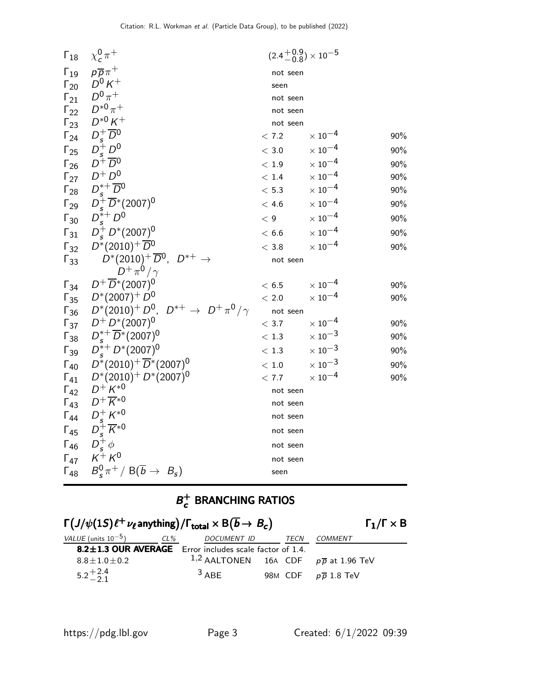| $\Gamma_{18}$                  | $\chi_c^0 \pi^+$                                                        | $(2.4 + 0.9 \choose -0.8) \times 10^{-5}$ |                           |     |
|--------------------------------|-------------------------------------------------------------------------|-------------------------------------------|---------------------------|-----|
| $\Gamma_{19}$                  | $p\overline{p}\pi^+$                                                    | not seen                                  |                           |     |
| $\Gamma_{20}$                  | $D^0 K^+$                                                               | seen                                      |                           |     |
| $\Gamma_{21}$                  | $D^0\pi^+$                                                              | not seen                                  |                           |     |
| $\Gamma_{22}$                  | $D^{*0}\pi^+$                                                           | not seen                                  |                           |     |
| $\Gamma_{23}$                  | $D^{*0} K^+$                                                            | not seen                                  |                           |     |
| $\Gamma_{24}$                  | $D_s^+\overline{D}{}^0$                                                 | < 7.2                                     | $\times 10^{-4}$          | 90% |
| $\Gamma_{25}$                  | $\begin{array}{c} D_s^+ \, D^0 \\ D^+ \, \overline{D}^0 \end{array}$    | $<$ 3.0                                   | $\times$ 10 $^{-4}$       | 90% |
| $\Gamma_{26}$                  |                                                                         | < 1.9                                     | $\times$ $10^{-4}$        | 90% |
| $\Gamma_{27}$                  | $D^+D^0$                                                                | < 1.4                                     | $\times$ 10 <sup>-4</sup> | 90% |
| $\Gamma_{28}$                  | $D^{*+}_{\circ} \overline{D}{}^0$                                       | $<\,5.3$                                  | $\times$ 10 <sup>-4</sup> | 90% |
| $\Gamma_{29}$                  | $D_s^+ \overline{D}^*(2007)^0$                                          | < 4.6                                     | $\times$ $10^{-4}$        | 90% |
| $\Gamma_{30}$                  | $D_s^{*+} D^0$                                                          | $\langle 9$                               | $\times$ 10 <sup>-4</sup> | 90% |
| $\Gamma_{31}$                  | $D_s^+ D^*(2007)^0$                                                     | < 6.6                                     | $\times$ 10 <sup>-4</sup> | 90% |
| $\Gamma_{32}$                  | $D^*(2010)^+ \overline{D}{}^0$                                          | < 3.8                                     | $\times$ 10 $^{-4}$       | 90% |
| $\Gamma_{33}$                  | $D^*(2010)^+\overline{D}^0$ , $D^{*+} \rightarrow$                      | not seen                                  |                           |     |
|                                | $D^+\pi^0/\gamma$                                                       |                                           |                           |     |
| $\Gamma_{34}$                  | $D^+ \overline{D}^*(2007)^0$<br>$D^*(2007)^+ D^0$                       | < 6.5                                     | $\times$ 10 <sup>-4</sup> | 90% |
| $\Gamma_{35}$                  | $\Gamma_{36}$ $D^*(2010)^+ D^0$ , $D^{*+} \rightarrow D^+\pi^0/\gamma$  | $<\,2.0$                                  | $\times$ 10 $^{-4}$       | 90% |
|                                | $\Gamma_{37}$ $D^+ D^* (2007)^0$                                        | not seen<br>< 3.7                         | $\times$ $10^{-4}$        | 90% |
|                                | $D_s^{*+} \overline{D}^*(2007)^0$                                       | < 1.3                                     | $\times$ 10 <sup>-3</sup> | 90% |
| $\Gamma_{38}$                  | $D_s^{*+}D^{*}(2007)^0$                                                 | $<\,1.3$                                  | $\times$ $10^{-3}$        | 90% |
| $\Gamma_{39}$                  | $D^*(2010)^+ \overline{D}^*(2007)^0$                                    |                                           | $\times$ 10 <sup>-3</sup> |     |
| $\Gamma_{40}$                  | $D^*(2010)^+ D^*(2007)^0$                                               | $<\,1.0$<br>< 7.7                         | $\times$ $10^{-4}$        | 90% |
| $\Gamma_{41}$<br>$\Gamma_{42}$ | $D^{+} K^{*0}$                                                          |                                           |                           | 90% |
| $\Gamma_{43}$                  | $D^+\overline{K}{}^{*0}$                                                | not seen<br>not seen                      |                           |     |
| $\Gamma_{44}$                  |                                                                         | not seen                                  |                           |     |
| $\Gamma_{45}$                  | $\begin{array}{c} D_s^+ K^{*0}\\ D_s^+ \overline{K}^{*0} \end{array}$   | not seen                                  |                           |     |
| $\Gamma_{46}$                  |                                                                         |                                           |                           |     |
| $\Gamma_{47}$                  | $\overrightarrow{D_s^+}\phi\\ \overrightarrow{K^+}\overrightarrow{K^0}$ | not seen                                  |                           |     |
| $\Gamma_{48}$                  | $B_s^0 \pi^+ / B(\overline{b} \to B_s)$                                 | not seen<br>seen                          |                           |     |
|                                |                                                                         |                                           |                           |     |

#### $B_c^+$  $\sigma_c^+$  BRANCHING RATIOS

| $\Gamma(J/\psi(1S)\ell^+\nu_{\ell}$ anything)/ $\Gamma_{\text{total}} \times B(\overline{b} \rightarrow B_c)$ |        |                                                  |      | $\Gamma_1/\Gamma \times B$      |  |
|---------------------------------------------------------------------------------------------------------------|--------|--------------------------------------------------|------|---------------------------------|--|
| <i>VALUE</i> (units $10^{-5}$ )                                                                               | $CL\%$ | DOCUMENT ID                                      | TECN | COMMENT                         |  |
| 8.2±1.3 OUR AVERAGE Error includes scale factor of 1.4.                                                       |        |                                                  |      |                                 |  |
| $8.8 \pm 1.0 \pm 0.2$                                                                                         |        | 1,2 AALTONEN 16A CDF $p\overline{p}$ at 1.96 TeV |      |                                 |  |
| $5.2^{+2.4}_{-2.1}$                                                                                           |        | $3$ ABF                                          |      | 98M CDF $p\overline{p}$ 1.8 TeV |  |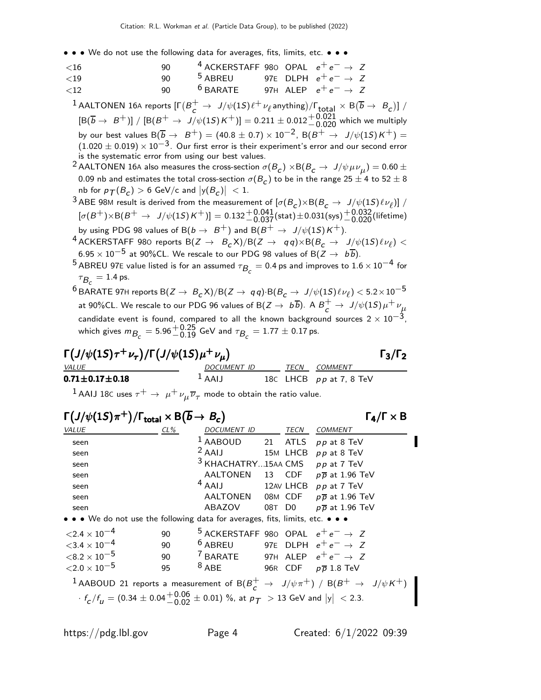• • • We do not use the following data for averages, fits, limits, etc. • • •

| $~<$ 16      | ۹N | <sup>4</sup> ACKERSTAFF 980 OPAL $e^+e^- \rightarrow Z$ |  |                                 |  |
|--------------|----|---------------------------------------------------------|--|---------------------------------|--|
| $\langle$ 19 | Q∩ | <sup>5</sup> ABREU 97E DLPH $e^+e^- \rightarrow Z$      |  |                                 |  |
| $\langle$ 12 | Q∩ | $6$ BARATE                                              |  | 97H ALEP $e^+e^- \rightarrow Z$ |  |

 $^1$  AALTONEN 16A reports  $[\Gamma(B_c^+ \to~ J/\psi(1S)\ell^+\nu_\ell$  anything)/ $\Gamma_{\rm total} \times {\rm B}(\overline{b} \to~B_c)]$  /  $[\mathsf{B}(\overline{b}\to~B^+)] \; / \; [\mathsf{B}(B^+\to~J/\psi(1S) \, \mathsf{K}^+)] = 0.211 \pm 0.012 {+0.021 \atop -0.020}$  which we multiply by our best values  $B(\overline{b}_{\overline{c}} \rightarrow B^+) = (40.8 \pm 0.7) \times 10^{-2}$ ,  $B(B^+ \rightarrow J/\psi(1S)K^+) =$  $(1.020 \pm 0.019) \times 10^{-3}$ . Our first error is their experiment's error and our second error is the systematic error from using our best values.

 $^2$  AALTONEN 16A also measures the cross-section  $\sigma(B_{\cal C})\times{\cal B}(B_{\cal C}\to\ J/\psi\,\mu\nu_{\mu})=$  0.60  $\pm$ 0.09 nb and estimates the total cross-section  $\sigma(B_{\mathcal{C}})$  to be in the range 25  $\pm$  4 to 52  $\pm$  8 nb for  $p_{\mathcal{T}}(B_{\mathcal{C}}) > 6$  GeV/c and  $|y(B_{\mathcal{C}})| < 1$ .

3 ABE 98M result is derived from the measurement of  $[\sigma(B_c)\times B(B_c\to J/\psi(1S)\ell\nu_\ell)]$  /  $[\sigma(B^+) \times {\rm B}(B^+ \ \rightarrow \ \textit{J}/\psi(1S) \, \textit{K}^+)] = 0.132 ^{+0.041}_{-0.037}_{-0.037} \textrm{(stat)} \pm 0.031\textrm{(sys)} ^{+0.032}_{-0.020} \textrm{(lifetime)}$ by using PDG 98 values of  $B(b \to B^+)$  and  $B(B^+ \to J/\psi(1S)K^+)$ .

- $^4$  ACKERSTAFF 980 reports  $B(Z \rightarrow B_c X)/B(Z \rightarrow q \, q) \times B(B_c \rightarrow J/\psi(1S) \ell \nu_\ell) < 0$  $6.95 \times 10^{-5}$  at 90%CL. We rescale to our PDG 98 values of B $(Z \rightarrow b\overline{b})$ .
- <sup>5</sup> ABREU 97E value listed is for an assumed  $\tau_{\mathcal{B}_c} = 0.4$  ps and improves to  $1.6 \times 10^{-4}$  for  $\tau_{\mathcal{B}_{\mathcal{C}}} = 1.4$  ps.
- $^6$ BARATE 97H reports B $(Z\to~B_c \text{X})/\text{B}(Z\to~q\,q)$ ·B $(B_c\to~J/\psi(1S) \ell \nu_\ell)$   $<$  5.2 $\times 10^{-5}$ at 90%CL. We rescale to our PDG 96 values of B $(Z\to~b\overline{b})$ . A  $B_c^+\to~J/\psi(1S)\mu^+\nu_\mu$ candidate event is found, compared to all the known background sources  $2 \times 10^{-3}$ , which gives  $m_{\overline{B}_\mathcal{C}} = 5.96 {+0.25\atop -0.19}$  GeV and  $\tau_{\overline{B}_\mathcal{C}} = 1.77 \pm 0.17$  ps.

$$
\Gamma(J/\psi(1S)\tau^+\nu_{\tau})/\Gamma(J/\psi(1S)\mu^+\nu_{\mu})
$$
\n
$$
\Gamma_3/\Gamma_2
$$
\n
$$
DOCUMENT ID
$$
\n
$$
TCN COMMENT
$$
\n
$$
TECN COMMENT
$$

 $+\nu_{\mu}$ ) Γ<sub>3</sub>/Γ

 $^1$  AAIJ 18C uses  $\tau^+ \rightarrow \ \mu^+ \nu_\mu \overline{\nu}_\tau$  mode to obtain the ratio value.

 $\textbf{0.71} \pm \textbf{0.17} \pm \textbf{0.18}$   $1 \text{ AAIJ}$   $18 \text{C}$  LHCB  $p \, p$  at 7, 8 TeV

## $\Gamma(J/\psi(1S)\pi^+) / \Gamma_{\text{total}} \times \mathsf{B}(\overline{b} \to B_c)$   $\Gamma_4 / \Gamma \times \mathsf{B}$

 $\Gamma$ <sub>4</sub>/Γ  $\times$  B

| VALUE                                                                                           | $CL\%$ | DOCUMENT ID                                             | TECN    | <b>COMMENT</b>                                                                                                 |
|-------------------------------------------------------------------------------------------------|--------|---------------------------------------------------------|---------|----------------------------------------------------------------------------------------------------------------|
| seen                                                                                            |        | $^1$ AABOUD                                             | 21 ATLS | $pp$ at 8 TeV                                                                                                  |
| seen                                                                                            |        | $2$ AAIJ 15M LHCB $pp$ at 8 TeV                         |         |                                                                                                                |
| seen                                                                                            |        | $3$ KHACHATRY15AA CMS pp at 7 TeV                       |         |                                                                                                                |
| seen                                                                                            |        | AALTONEN                                                |         | 13 CDF $p\overline{p}$ at 1.96 TeV                                                                             |
| seen                                                                                            |        | $4$ AAIJ                                                |         | 12AV LHCB pp at 7 TeV                                                                                          |
| seen                                                                                            |        |                                                         |         | AALTONEN 08M CDF $p\overline{p}$ at 1.96 TeV                                                                   |
| seen                                                                                            |        | ABAZOV                                                  | 08T D0  | $p\overline{p}$ at 1.96 TeV                                                                                    |
| • • • We do not use the following data for averages, fits, limits, etc. • • •                   |        |                                                         |         |                                                                                                                |
| $\langle 2.4 \times 10^{-4}$                                                                    | 90     | <sup>5</sup> ACKERSTAFF 980 OPAL $e^+e^- \rightarrow Z$ |         |                                                                                                                |
| $<$ 3.4 $\times$ 10 <sup>-4</sup>                                                               | 90     | <sup>6</sup> ABREU 97E DLPH $e^+e^- \rightarrow Z$      |         |                                                                                                                |
| ${<}8.2\times10^{-5}$                                                                           | 90     | <sup>7</sup> BARATE 97H ALEP $e^+e^- \rightarrow Z$     |         |                                                                                                                |
| ${<}2.0\times10^{-5}$                                                                           | 95     | $8$ ABE                                                 |         | 96R CDF $p\overline{p}$ 1.8 TeV                                                                                |
|                                                                                                 |        |                                                         |         | 1 AABOUD 21 reports a measurement of B( $B_c^+ \rightarrow J/\psi \pi^+$ ) / B( $B^+ \rightarrow J/\psi K^+$ ) |
| $f_c/f_u = (0.34 \pm 0.04 \frac{+0.06}{-0.02} \pm 0.01)$ %, at $p_T > 13$ GeV and $ y  < 2.3$ . |        |                                                         |         |                                                                                                                |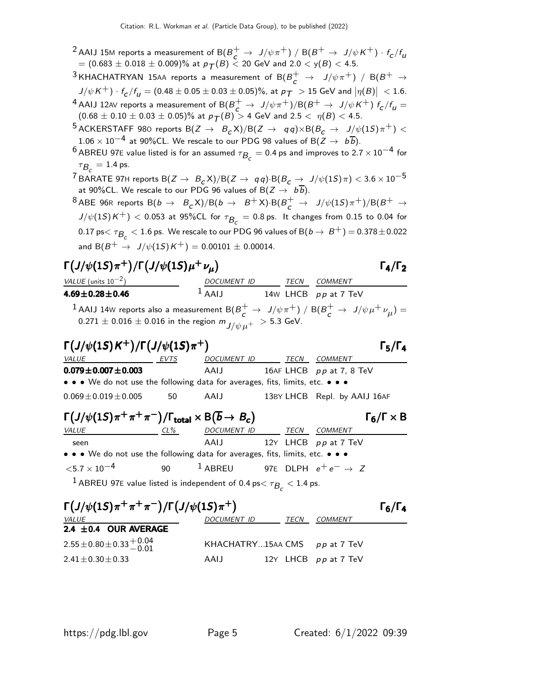- <sup>2</sup> AAIJ 15M reports a measurement of B( $B_c^+ \rightarrow J/\psi \pi^+$ ) / B( $B^+ \rightarrow J/\psi \, K^+$ ) ·  $f_c/f_u$  $=(0.683\pm0.018\pm0.009)\%$  at  $p_{\mathcal{T}}(B) <$  20 GeV and  $2.0 <$  y( $B) <$  4.5.
- $^3$ KHACHATRYAN 15AA reports a measurement of  $\text{B}(B_c^+ \ \to \ J/\psi \pi^+) \ / \ \text{B}(B^+ \ \to \Lambda)$  $J/\psi\, K^{+})\cdot f_{\text{\scriptsize{C}}}/f_{\text{\scriptsize{U}}} = (0.48\pm0.05\pm0.03\pm0.05)\%$ , at  $p_{\text{\scriptsize{T}}}>15$  GeV and  $\big|\eta(B)\big|~< 1.6$ .
- <sup>4</sup> AAIJ 12AV reports a measurement of  $B(B^+ \to J/\psi \pi^+) / B(B^+ \to J/\psi K^+)$   $f_c/f_u =$  $(0.68 \pm 0.10 \pm 0.03 \pm 0.05)\%$  at  $p_{\mathcal{T}}(B) > 4$  GeV and  $2.5 < \eta(B) < 4.5$ .
- 5 ACKERSTAFF 980 reports  $B(Z \to B_c X)/B(Z \to q \, q) \times B(B_c \to J/\psi(1S) \pi^+)$  < 1.06 × 10<sup>-4</sup> at 90%CL. We rescale to our PDG 98 values of B( $\overline{Z}$  →  $b\overline{b}$ ).
- <sup>6</sup> ABREU 97E value listed is for an assumed  $\tau_{\mathcal{B}_c} = 0.4$  ps and improves to  $2.7 \times 10^{-4}$  for  $\tau_{\mathcal{B}_{\mathcal{C}}} = 1.4$  ps.
- $^{7}$ BARATE 97H reports B $(Z\to~B_{\cal C} \textsf{X})/\textsf{B}(Z\to~q\,q) \cdot \textsf{B}(B_{\cal C}\to~J/\psi(1S)\,\pi) < 3.6\times 10^{-5}$ at 90%CL. We rescale to our PDG 96 values of B( $Z\rightarrow~b\,b)$ .
- $^8$ ABE 96R reports  $\mathsf{B}(b\to~\mathsf{B}_\mathsf{C}^\star\mathsf{X})/\mathsf{B}(b\to~\mathsf{B}^+\mathsf{X})\cdot\mathsf{B}(B^+_c\to~\mathsf{J}/\psi(1S)\,\pi^+)/\mathsf{B}(B^+\to\mathsf{B}_\mathsf{C}^\star)$  $J/\psi(1\mathcal{S})\mathcal{K}^+) < 0.053$  at  $95\%$ CL for  $\tau_{\mathcal{B}_\mathcal{C}} = 0.8\,\text{ps}$ . It changes from  $0.15$  to  $0.04$  for  $0.17$  ps $<\tau_{\mathcal{B}_\mathcal{C}}< 1.6$  ps. We rescale to our PDG 96 values of B $(b\to\ B^+)=0.378\pm0.022$ and  $B(B^+ \to J/\psi(1S)K^+) = 0.00101 \pm 0.00014$ .

### $\Gamma(J/\psi(1S)\pi^+) / \Gamma(J/\psi(1S)\mu^+ \nu_\mu)$  Γ<sub>4</sub>/Γ<sub>2</sub> VALUE (units  $10^{-2}$ ) DOCUMENT ID TECN COMMENT

### $\Gamma_4/\Gamma_2$

**4.69** $\pm$ **0.28** $\pm$ **0.46** 1 AAIJ 14W LHCB pp at 7 TeV <sup>1</sup> AAIJ 14W reports also a measurement  $B(B_c^+ \rightarrow J/\psi \pi^+) / B(B_c^+ \rightarrow J/\psi \mu^+ \nu_\mu) =$  $0.271 \pm 0.016 \pm 0.016$  in the region  $m_{J/\psi\mu^+} > 5.3$  GeV.

| $\Gamma(J/\psi(1S)K^+)/\Gamma(J/\psi(1S)\pi^+)$                               |      |                |  |      |                              |  |  |
|-------------------------------------------------------------------------------|------|----------------|--|------|------------------------------|--|--|
| <i>VALUE</i>                                                                  | EVTS | DOCUMENT ID    |  | TECN | <i>COMMENT</i>               |  |  |
| $0.079 \pm 0.007 \pm 0.003$                                                   |      | AAIJ           |  |      | 16AF LHCB $pp$ at 7, 8 TeV   |  |  |
| • • • We do not use the following data for averages, fits, limits, etc. • • • |      |                |  |      |                              |  |  |
| $0.069 \pm 0.019 \pm 0.005$                                                   | 50   | AAIJ           |  |      | 13BY LHCB Repl. by AAIJ 16AF |  |  |
| $\mathsf{r}(1114 \land \bot \bot \bot \neg \mathsf{R})$                       |      | $\overline{a}$ |  |      |                              |  |  |

| $\Gamma(J/\psi(1S)\pi^+\pi^+\pi^-)/\Gamma_{\text{total}}\times B(\overline{b}\to B_c)$    |     |                                                    |      |                           | $\Gamma_6/\Gamma \times B$ |
|-------------------------------------------------------------------------------------------|-----|----------------------------------------------------|------|---------------------------|----------------------------|
| <i>VALUE</i>                                                                              | CL% | DOCUMENT ID                                        | TECN | COMMENT                   |                            |
| seen                                                                                      |     |                                                    |      | AAIJ 12Y LHCB pp at 7 TeV |                            |
| • • • We do not use the following data for averages, fits, limits, etc. • • •             |     |                                                    |      |                           |                            |
| $<$ 5.7 $\times$ 10 $^{-4}$                                                               | 90  | <sup>1</sup> ABREU 97E DLPH $e^+e^- \rightarrow Z$ |      |                           |                            |
| <sup>1</sup> ABREU 97E value listed is independent of 0.4 ps $<$ $\tau_{B_c}$ $<$ 1.4 ps. |     |                                                    |      |                           |                            |

| $\Gamma(J/\psi(1S)\pi^+\pi^+\pi^-)/\Gamma(J/\psi(1S)\pi^+)$          |                                 |  |      |                        |  |  |  |
|----------------------------------------------------------------------|---------------------------------|--|------|------------------------|--|--|--|
| <i>VALUE</i>                                                         | DOCUMENT ID                     |  | TECN | <i>COMMENT</i>         |  |  |  |
| 2.4 $\pm$ 0.4 OUR AVERAGE                                            |                                 |  |      |                        |  |  |  |
| $2.55 \pm 0.80 \pm 0.33 \begin{array}{c} +0.04 \\ -0.01 \end{array}$ | KHACHATRY15AA CMS $pp$ at 7 TeV |  |      |                        |  |  |  |
| $2.41 \pm 0.30 \pm 0.33$                                             | AAIJ                            |  |      | 12Y LHCB $pp$ at 7 TeV |  |  |  |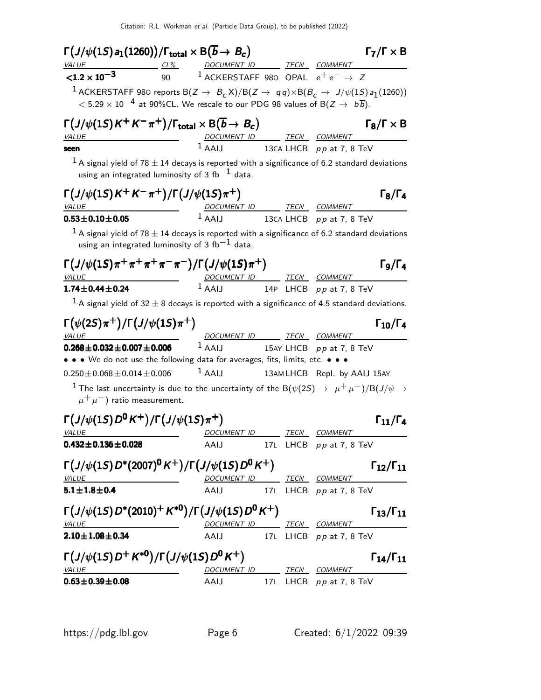| $\Gamma\big(J/\psi(1S) \hspace{1pt} a_1(1260)\big)/\Gamma_{\mathrm{total}} \times \mathsf{B}(\overline{b} \rightarrow \hspace{1pt} B_c)$                                                                                                                          |                                                   |  |                                                            | $\Gamma_7/\Gamma \times B$ |
|-------------------------------------------------------------------------------------------------------------------------------------------------------------------------------------------------------------------------------------------------------------------|---------------------------------------------------|--|------------------------------------------------------------|----------------------------|
| VALUE CL% DOCUMENT ID TECN COMMENT                                                                                                                                                                                                                                |                                                   |  |                                                            |                            |
| $< 1.2 \times 10^{-3}$                                                                                                                                                                                                                                            | 90 $1$ ACKERSTAFF 980 OPAL $e^+e^- \rightarrow Z$ |  |                                                            |                            |
| <sup>1</sup> ACKERSTAFF 980 reports B( $Z \rightarrow B_c X)/B(Z \rightarrow q \bar{q}) \times B(B_c \rightarrow J/\psi(1S) a_1(1260))$<br>$<$ 5.29 $\times$ 10 $^{-4}$ at 90%CL. We rescale to our PDG 98 values of B(Z $\rightarrow$ $\,$ $\, b\overline{b}$ ). |                                                   |  |                                                            |                            |
| $\Gamma(J/\psi(1S)K^+K^-\pi^+)/\Gamma_{\rm total}\times B(\overline{b}\to B_c)$<br><b>VALUE</b>                                                                                                                                                                   | DOCUMENT ID TECN COMMENT                          |  |                                                            | $\Gamma_8/\Gamma \times B$ |
| seen                                                                                                                                                                                                                                                              |                                                   |  | $1$ AAIJ 13CA LHCB $pp$ at 7, 8 TeV                        |                            |
| $^1$ A signal yield of 78 $\pm$ 14 decays is reported with a significance of 6.2 standard deviations<br>using an integrated luminosity of 3 fb $^{-1}$ data.                                                                                                      |                                                   |  |                                                            |                            |
| $\Gamma(J/\psi(1S)K^+K^-\pi^+)/\Gamma(J/\psi(1S)\pi^+)$<br>VALUE                                                                                                                                                                                                  | DOCUMENT ID TECN COMMENT                          |  |                                                            | $\Gamma_8/\Gamma_4$        |
| $0.53 \pm 0.10 \pm 0.05$                                                                                                                                                                                                                                          |                                                   |  | $1$ AAIJ 13CA LHCB $pp$ at 7, 8 TeV                        |                            |
| $^1$ A signal yield of 78 $\pm$ 14 decays is reported with a significance of 6.2 standard deviations<br>using an integrated luminosity of 3 fb $^{-1}$ data.                                                                                                      |                                                   |  |                                                            |                            |
| $\Gamma(J/\psi(1S)\pi^+\pi^+\pi^+\pi^-\pi^-)/\Gamma(J/\psi(1S)\pi^+)$<br><b>VALUE</b>                                                                                                                                                                             |                                                   |  |                                                            | $\Gamma$ 9/Г4              |
| $1.74 \pm 0.44 \pm 0.24$                                                                                                                                                                                                                                          |                                                   |  | DOCUMENT ID TECN COMMENT<br>1 AAIJ 14P LHCB pp at 7, 8 TeV |                            |
| <sup>1</sup> A signal yield of 32 $\pm$ 8 decays is reported with a significance of 4.5 standard deviations.                                                                                                                                                      |                                                   |  |                                                            |                            |
| $\Gamma(\psi(2S)\pi^+) / \Gamma(J/\psi(1S)\pi^+)$<br>VALUE                                                                                                                                                                                                        | DOCUMENT ID TECN COMMENT                          |  |                                                            | $\Gamma_{10}/\Gamma_4$     |
| $0.268 \pm 0.032 \pm 0.007 \pm 0.006$                                                                                                                                                                                                                             | $1$ AAIJ                                          |  | 15AY LHCB pp at 7, 8 TeV                                   |                            |
| • • • We do not use the following data for averages, fits, limits, etc. • • •                                                                                                                                                                                     |                                                   |  |                                                            |                            |
| $0.250 \pm 0.068 \pm 0.014 \pm 0.006$                                                                                                                                                                                                                             | $1$ AAIJ                                          |  | 13AMLHCB Repl. by AAIJ 15AY                                |                            |
| $^{-1}$ The last uncertainty is due to the uncertainty of the B( $\psi(2S)\to~\mu^+\mu^-)/\text{B}(J/\psi\to0)$<br>$\mu^+ \mu^-$ ) ratio measurement.                                                                                                             |                                                   |  |                                                            |                            |
| $\Gamma\left(J/\psi(1S)D^0K^+\right)/\Gamma\left(J/\psi(1S)\pi^+\right)$                                                                                                                                                                                          |                                                   |  |                                                            | $\Gamma_{11}/\Gamma_{4}$   |
| <i>VALUE</i>                                                                                                                                                                                                                                                      | DOCUMENT ID                                       |  | TECN COMMENT                                               |                            |
| $0.432 \pm 0.136 \pm 0.028$                                                                                                                                                                                                                                       | AAIJ                                              |  | 17L LHCB pp at 7, 8 TeV                                    |                            |
| $\Gamma(J/\psi(1S) D^*(2007)^0 K^+)/\Gamma(J/\psi(1S) D^0 K^+)$<br><b>VALUE</b>                                                                                                                                                                                   | DOCUMENT ID TECN COMMENT                          |  |                                                            | $\Gamma_{12}/\Gamma_{11}$  |
| $5.1 \pm 1.8 \pm 0.4$                                                                                                                                                                                                                                             |                                                   |  | AAIJ 17L LHCB pp at 7, 8 TeV                               |                            |
| $\Gamma(J/\psi(1S)D^*(2010)^+K^{*0})/\Gamma(J/\psi(1S)D^0K^+)$                                                                                                                                                                                                    |                                                   |  |                                                            | $\Gamma_{13}/\Gamma_{11}$  |
| <b>VALUE</b>                                                                                                                                                                                                                                                      | DOCUMENT ID TECN COMMENT                          |  |                                                            |                            |
| $2.10 \pm 1.08 \pm 0.34$                                                                                                                                                                                                                                          |                                                   |  | AAIJ 17L LHCB pp at 7, 8 TeV                               |                            |
| $\Gamma(J/\psi(1S)D^+K^{*0})/\Gamma(J/\psi(1S)D^0K^+)$<br><b>VALUE</b>                                                                                                                                                                                            | DOCUMENT ID TECN COMMENT                          |  |                                                            | $\Gamma_{14}/\Gamma_{11}$  |
| $0.63 \pm 0.39 \pm 0.08$                                                                                                                                                                                                                                          |                                                   |  | AAIJ 17L LHCB pp at 7, 8 TeV                               |                            |
|                                                                                                                                                                                                                                                                   |                                                   |  |                                                            |                            |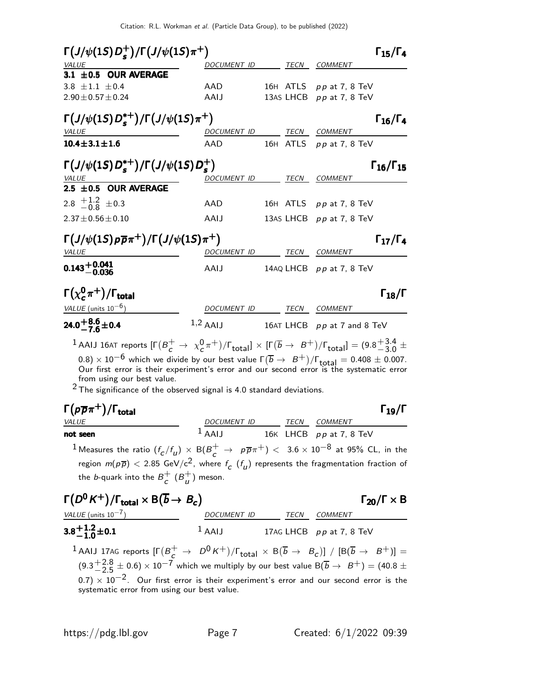| $\Gamma(J/\psi(1S)D_{s}^{+})/\Gamma(J/\psi(1S)\pi^{+})$                                                                                                                |                          |                          | $\Gamma_{15}/\Gamma_4$                              |
|------------------------------------------------------------------------------------------------------------------------------------------------------------------------|--------------------------|--------------------------|-----------------------------------------------------|
| VALUE                                                                                                                                                                  | DOCUMENT ID              |                          | TECN COMMENT                                        |
| 3.1 ±0.5 OUR AVERAGE<br>3.8 $\pm$ 1.1 $\pm$ 0.4<br>$2.90 \pm 0.57 \pm 0.24$                                                                                            | AAD<br>AAIJ              |                          | 16H ATLS pp at 7, 8 TeV<br>13AS LHCB pp at 7, 8 TeV |
| $\Gamma(J/\psi(1S)D_{\rm s}^{*+})/\Gamma(J/\psi(1S)\pi^{+})$<br><i>VALUE</i>                                                                                           |                          | DOCUMENT ID TECN COMMENT | $\Gamma_{16}/\Gamma_4$                              |
| $10.4 \pm 3.1 \pm 1.6$                                                                                                                                                 | AAD                      |                          | 16H ATLS $pp$ at 7, 8 TeV                           |
| $\Gamma(J/\psi(1S)D_{\epsilon}^{*+})/\Gamma(J/\psi(1S)D_{\epsilon}^{+})$                                                                                               |                          |                          | $\Gamma_{16}/\Gamma_{15}$                           |
| $\frac{VALUE}{2.5 \pm 0.5}$ OUR AVERAGE                                                                                                                                | DOCUMENT ID              |                          | TECN COMMENT                                        |
| 2.8 $\pm 1.2$ $\pm 0.3$                                                                                                                                                | AAD                      |                          | 16H ATLS $pp$ at 7, 8 TeV                           |
| $2.37 \pm 0.56 \pm 0.10$                                                                                                                                               | AAIJ                     |                          | 13AS LHCB pp at 7, 8 TeV                            |
| $\Gamma\left(\frac{J}{\psi(1S)\rho\overline{\rho}\pi^+}\right)/\Gamma\left(\frac{J}{\psi(1S)\pi^+}\right)$                                                             |                          |                          | $\Gamma_{17}/\Gamma_4$                              |
| <b>VALUE</b>                                                                                                                                                           | DOCUMENT ID              | TECN                     | COMMENT                                             |
| $0.143 + 0.041$<br>$-0.036$                                                                                                                                            | AAIJ                     |                          | 14AQ LHCB $pp$ at 7, 8 TeV                          |
| $\Gamma(\chi^0_c\pi^+)$ / $\Gamma_{\rm total}$                                                                                                                         |                          |                          | $\Gamma_{18}/\Gamma$                                |
| VALUE (units $10^{-6}$ )                                                                                                                                               | DOCUMENT ID TECN COMMENT |                          |                                                     |
| 24.0 $+8.6$ ± 0.4                                                                                                                                                      | $1,2$ AAIJ               |                          | 16AT LHCB pp at 7 and 8 TeV                         |
| <sup>1</sup> AAIJ 16AT reports $[\Gamma(B_c^+\to \chi_c^0\pi^+)/\Gamma_{\text{total}}]\times[\Gamma(\overline{b}\to B^+)/\Gamma_{\text{total}}]=(9.8^{+3.4}_{-3.0}\pm$ |                          |                          |                                                     |

 $(0.8)\times 10^{-6}$  which we divide by our best value  $\Gamma(\overline{b}\rightarrow~B^+)/\Gamma_{\rm total}=0.408\pm0.007.$  Our first error is their experiment's error and our second error is the systematic error from using our best value.

 $2$  The significance of the observed signal is 4.0 standard deviations.

| $\Gamma(p\overline{p}\pi^+)$ / $\Gamma_{\rm total}$                                                                   |                     |      |                           | $\Gamma_{19}/\Gamma$ |
|-----------------------------------------------------------------------------------------------------------------------|---------------------|------|---------------------------|----------------------|
| <i>VALUE</i>                                                                                                          | <i>DOCUMENT ID</i>  | TECN | COMMENT                   |                      |
| not seen                                                                                                              | $\overline{A}$ AAIJ |      | 16K LHCB $pp$ at 7, 8 TeV |                      |
| 1 Measures the ratio $(f/f)$ $\vee$ $R(B^{+})$ $\vee$ $R(B^{-+})$ $\vee$ 3.6 $\vee$ 10 <sup>-8</sup> at 05% Cl in the |                     |      |                           |                      |

 $^1$  Measures the ratio  $(f_{\cal C}/f_{\cal U}) \ \times \ {\sf B} (B^+_{\cal C} \ \to \ \ \rho \overline{\rho} \pi^+) \ < \ 3.6 \times 10^{-8}$  at 95% CL, in the region  $m(p\overline{p}) <$  2.85 GeV/c<sup>2</sup>, where  $f^-_{\mathcal{C}}(f_{\mathcal{U}})$  represents the fragmentation fraction of the *b*-quark into the  $B^+$  $_c^+$  (B<sup>+</sup><sub>u</sub>  $\begin{matrix} 1 \ u \end{matrix}$  meson.

| $\Gamma(D^0 K^+)/\Gamma_{\text{total}} \times B(\overline{b} \rightarrow B_c)$                                                                                                                                                                                                                                                                                                                                                             | $\Gamma_{20}/\Gamma \times B$ |                                |
|--------------------------------------------------------------------------------------------------------------------------------------------------------------------------------------------------------------------------------------------------------------------------------------------------------------------------------------------------------------------------------------------------------------------------------------------|-------------------------------|--------------------------------|
| $3.8^{+1.2}_{-1.0} \pm 0.1$                                                                                                                                                                                                                                                                                                                                                                                                                | $1$ AAIJ                      | $17$ AG LHCB $p p$ at 7, 8 TeV |
| $1$ AAIJ 17AG reports $[\Gamma(B_c^+ \rightarrow D^0 K^+)/\Gamma_{\text{total}} \times B(\overline{b} \rightarrow B_c)] / [B(\overline{b} \rightarrow B^+)] =$<br>$(9.3^{+2.8}_{-2.5} \pm 0.6) \times 10^{-7}$ which we multiply by our best value $B(\overline{b} \rightarrow B^+) = (40.8 \pm 0.7) \times 10^{-2}$ . Our first error is their experiment's error and our second error is the systematic error from using our best value. |                               |                                |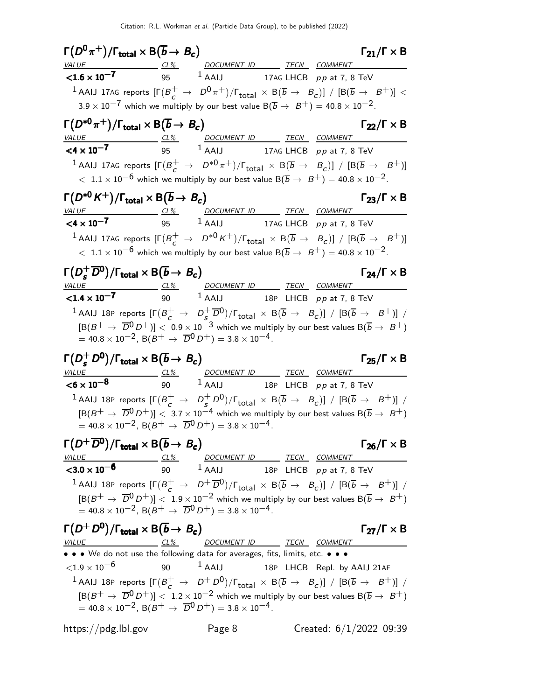$\Gamma(D^0 \pi^+) / \Gamma_{\text{total}} \times B(\overline{b} \to B_c)$   $\Gamma_{21} / \Gamma \times B$ ) Γ $_{21}/$ Γ  $\times$  Β VALUE CL<sup>%</sup> DOCUMENT ID TECN COMMENT  $< 1.6 \times 10^{-7}$ 95  $1$  AAIJ 17AG LHCB pp at 7, 8 TeV  $^1$  AAIJ 17AG reports  $[\Gamma(B_c^+\to~D^0\pi^+)/\Gamma_{\rm total}\,\times\, {\rm B}(\overline{b}\,\to~B_c)]$  /  $[{\rm B}(\overline{b}\,\to~B^+)]<$  $3.9 \times 10^{-7}$  which we multiply by our best value B( $\overline{b} \rightarrow B^{+}$ ) = 40.8 × 10<sup>-2</sup>.  $\Gamma(D^{*0}\pi^+) / \Gamma_{\text{total}} \times \mathsf{B}(\overline{b} \to B_c)$   $\Gamma_{22} / \Gamma \times \mathsf{B}$  $\Gamma_{22}/\Gamma \times B$ VALUE  $\frac{VALUE}{1.000}$   $\frac{CL\%}{1.000}$   $\frac{DOCUMENT ID}{1.000}$   $\frac{TECN}{1.000}$   $\frac{COMMENT}{1.000}$  $<$ 4 × 10<sup>-7</sup> 17AG LHCB  $pp$  at 7, 8 TeV  $^1$ AAIJ 17AG reports  $[\Gamma(B_c^+\rightarrow D^{*0}\pi^+)/\Gamma_{\text{total}}\times B(\overline{b}\rightarrow B_c)]$  /  $[B(\overline{b}\rightarrow B^+)]$  $<~1.1\times 10^{-6}$  which we multiply by our best value B $(\overline{b}\rightarrow~B^+)=$  40.8  $\times$  10 $^{-2}.$  $\Gamma(D^{*0} K^+) / \Gamma_{\text{total}} \times \text{B}(\overline{b} \to B_c)$  Γ<sub>23</sub>/Γ × Β VALUE CL% DOCUMENT ID TECN COMMENT  $\leq$ 4 x 10<sup>-7</sup> 95 <sup>1</sup> AAIJ 17AG LHCB pp at 7, 8 TeV  $^1$  AAIJ 17AG reports  $[\Gamma(B_c^+\rightarrow~D^{*0}\text{\textit{K}}^+)/\Gamma_{\text{total}}\,\times\, \text{B}(\overline{b}\,\rightarrow\,\ B_c)]$  /  $[\text{B}(\overline{b}\,\rightarrow\,\ B^+)]$  $< 1.1 \times 10^{-6}$  which we multiply by our best value B $(\overline{b} \rightarrow B^{+}) = 40.8 \times 10^{-2}$ .  $Γ(D_5^+)$  $\Gamma(D_s^+ \overline{D}^0) / \Gamma_{\text{total}} \times B(\overline{b} \to B_c)$   $\Gamma_{24}/\Gamma \times B$  $\Gamma_{24}/\Gamma \times B$ VALUE CL% DOCUMENT ID TECN COMMENT  $1.4 \times 10^{-7}$  90  $^{1}$  AAIJ 18P LHCB pp at 7, 8 TeV  $^1$ AAIJ 18P reports  $[\Gamma(B_c^+ \rightarrow D_s^+)]$  $\frac{1}{s}$   $\overline{D}^{0}$ )/ $\Gamma_{\text{total}} \times B(\overline{b} \rightarrow B_{c})$ ] /  $[B(\overline{b} \rightarrow B^{+})]$  /  $[B(B^+ \rightarrow \overline{D}^0 D^+)] < 0.9 \times 10^{-3}$  which we multiply by our best values  $B(\overline{b} \rightarrow B^+)$  $= 40.8 \times 10^{-2}$ , B $(B^+ \rightarrow \overline{D}^0 D^+) = 3.8 \times 10^{-4}$ .  $Γ(D_5^+)$  $\Gamma(D_s^+ D^0)/\Gamma_{\text{total}} \times B(\overline{b} \to B_c)$   $\Gamma_{25}/\Gamma \times B$  $(\mathbf{S}^+ \mathbf{D}^0)/\Gamma_{\text{total}} \times \mathsf{B}(\overline{\mathbf{b}} \to \mathbf{B}_c)$ Γ<sub>25</sub>/Γ × Β VALUE CL<sup>%</sup> DOCUMENT ID TECN COMMENT  $<$ 6  $\times$  10 $^{-8}$ 90  $1$  AAIJ 18P LHCB pp at 7, 8 TeV  $^1$ AAIJ 18P reports  $[\Gamma(B_c^+ \rightarrow D_s^+)$  $(S^+_{\mathcal{S}}D^0)/\Gamma_{\text{total}} \times B(\overline{b} \rightarrow B_c)] / [B(\overline{b} \rightarrow B^+)] /$  $[\mathsf{B}(B^+\to \overline{D}^0 D^+)] < 3.7\times 10^{-4}$  which we multiply by our best values  $\mathsf{B}(\overline{b}\to B^+)$  $= 40.8 \times 10^{-2}$ , B $(B^{+} \rightarrow \overline{D}^{0} D^{+}) = 3.8 \times 10^{-4}$ .  $\Gamma(D^+ \overline{D}{}^0) / \Gamma_{\text{total}} \times B(\overline{b} \to B_c)$   $\Gamma_{26} / \Gamma \times B$ Γ<sub>26</sub>/Γ  $\times$  Β <u>CL% DOCUMENT ID TECN COMMENT</u>  ${<}3.0 \times 10^{-6}$ 90  $1$  AAIJ 18P LHCB pp at 7, 8 TeV  $^1$ AAIJ 18P reports  $[\Gamma(B_c^+ \rightarrow D^+\overline{D}^0)/\Gamma_{\text{total}} \times B(\overline{b} \rightarrow B_c)] / [B(\overline{b} \rightarrow B^+)] /$  $[B(B^+ \rightarrow \overline{D}^0 D^+)] < 1.9 \times 10^{-2}$  which we multiply by our best values  $B(\overline{b} \rightarrow B^+)$  $= 40.8 \times 10^{-2}$ , B $(B^{+} \rightarrow \overline{D}^{0} D^{+}) = 3.8 \times 10^{-4}$ .  $\Gamma(D^+ D^0)/\Gamma_{\text{total}} \times \mathsf{B}(\overline{b} \to B_c)$   $\Gamma_{27}/\Gamma \times \mathsf{B}$  $\Gamma_{27}/\Gamma \times B$ <u>CL% DOCUMENT ID TECN COMMENT</u> • • • We do not use the following data for averages, fits, limits, etc. • • •  $<$ 1.9  $\times$  10 $^{-6}$  90  $^{-1}$  AAIJ 18P LHCB Repl. by AAIJ 21AF  $^1$  AAIJ 18P reports  $[\Gamma(B_c^+ \rightarrow D^+ D^0)/\Gamma_{\text{total}} \times B(\overline{b} \rightarrow B_c)] / [B(\overline{b} \rightarrow B^+)] /$  $[B(B^+ \rightarrow \overline{D}^0 D^+)] < 1.2 \times 10^{-2}$  which we multiply by our best values  $B(\overline{b} \rightarrow B^+)$  $= 40.8 \times 10^{-2}$ , B( $B^+ \rightarrow \overline{D}^0 D^+$ ) = 3.8 × 10<sup>-4</sup>. https://pdg.lbl.gov Page 8 Created: 6/1/2022 09:39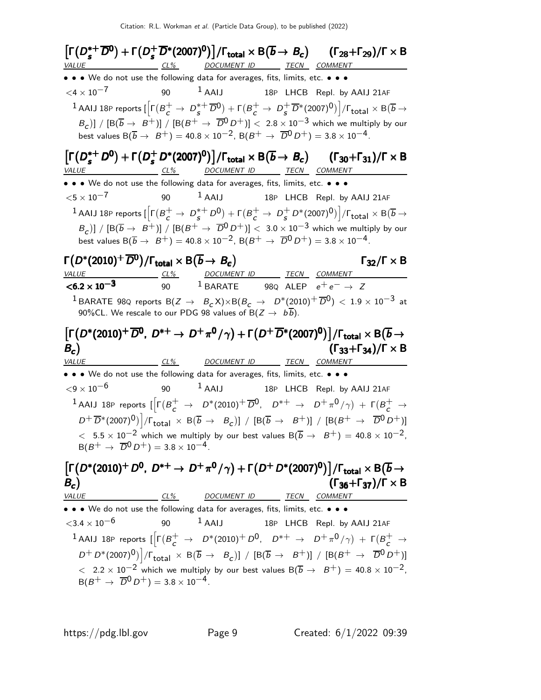$\lceil \Gamma(D_s^{*+}$  $s^{*+}\overline{D}^0$ ) +  $\Gamma(D_s^+)$  $\left[\Gamma(D_s^{*+} \overline{D}^0) + \Gamma(D_s^{+} \overline{D}^{*}(2007)^0)\right] / \Gamma_{\text{total}} \times B(\overline{b} \to B_c)$  $(\overline{b} \rightarrow B_c)$   $(\Gamma_{28} + \Gamma_{29})/\Gamma \times B$  $s^{*+}\overline{D}^0$ ) +  $\Gamma(D_s^+)$  $\left[\Gamma(D_s^{*+} \overline{D}^0) + \Gamma(D_s^{+} \overline{D}^{*}(2007)^0)\right]$ /Γ<sub>total</sub> × Β  $\left[\Gamma(D_s^{*+} \overline{D}^0) + \Gamma(D_s^{+} \overline{D}^{*}(2007)^0)\right] / \Gamma_{\text{total}} \times B(\overline{b} \to B_c)$  $s^{*+}\overline{D}^0$ ) +  $\Gamma(D_s^+)$  $\frac{1}{s}\overline{D}^{*}(2007)^{0})\big]/\Gamma_{\rm total}\times{\cal B}(\overline{b}\to B_c)\qquad(\Gamma_{28}+\Gamma_{29})/\Gamma\times{\cal B}$ CL% DOCUMENT ID TECN COMMENT • • • We do not use the following data for averages, fits, limits, etc. • • •  $<$ 4  $\times$  10<sup>-7</sup> 90 <sup>1</sup> AAIJ 18P LHCB Repl. by AAIJ 21AF  $^1$  AAIJ 18P reports [ $\left[\Gamma(B_c^+ \rightarrow \ D^{\ast+}_s \right]$  $(s^+$ <sub>s</sub> D<sup>0</sup>) +  $\Gamma(B_c^+$   $\rightarrow$   $D_s^+$  $\frac{1}{s}\overline{D}^*(2007)^0)\Big]/\Gamma_{\text{total}}\times \text{B}(\overline{b}\rightarrow$  $\left(B_{\mathcal{C}}\right)\right]/\left[\mathsf{B}(\overline{b}\rightarrow~B^{+})\right]/\left[\mathsf{B}(B^{+}\rightarrow~\overline{D}^{0}D^{+})\right]<2.8\times10^{-3}$  which we multiply by our best values  $B(\overline{b} \to B^+) = 40.8 \times 10^{-2}$ ,  $B(B^+ \to \overline{D}^0 D^+) = 3.8 \times 10^{-4}$ .  $\lceil \Gamma(D_s^{*+}$ \*<sup>+</sup> D<sup>0</sup>) + Γ(D<sup>+</sup>  $\left[ \Gamma (D_s^{*+} D^0) + \Gamma (D_s^+ D^{*}(2007)^0) \right] / \Gamma_{\text{total}} \times B(\overline{b} \to B_c)$   $(\Gamma_{30} + \Gamma_{31}) / \Gamma \times B$  $s^{*+}D^0$ ) +  $\Gamma(D_s^+$  $\left[\Gamma(D_s^{*+}D^0) + \Gamma(D_s^+D^{*}(2007)^0)\right] / \Gamma_{\text{total}} \times \mathsf{B}(\overline{b} \to B_c)$   $(\Gamma_{30} + \Gamma_{31}) / \Gamma \times \mathsf{B}$  $\left[\Gamma(D_s^{*+}D^0) + \Gamma(D_s^+D^{*}(2007)^0)\right] / \Gamma_{\text{total}} \times B(\overline{b} \to B_c)$   $(\Gamma_{30} + \Gamma_{31}) / \Gamma \times B$  $s^{*+}D^0$ ) +  $\Gamma(D_s^+)$  $\frac{1}{s} D^* (2007)^0 \big) \big] / \Gamma_{\text{total}} \times \mathsf{B} \big( \overline{b} \to B_c \big) \qquad \text{(} \Gamma_{30} + \Gamma_{31} \text{)/} \Gamma \times \mathsf{B}$ <u>CL% DOCUMENT ID TECN COMMENT</u> • • • We do not use the following data for averages, fits, limits, etc. • • •  $<$ 5  $\times$  10 $^{-7}$  90  $^{-1}$  AAIJ 18P LHCB Repl. by AAIJ 21AF  $^1$  AAIJ 18P reports [ $\left[\Gamma(B_c^+ \rightarrow \ D^{\ast+}_s \right]$  $S_s^{*+}D^0$ ) +  $\Gamma(B_c^+ \to D_s^+)$  $\frac{1}{s}D^*(2007)^0)\Big]/\Gamma_{\text{total}}\times \textsf{B}(\overline{b}\rightarrow$  $(B_\mathcal{C})]$  /  $[B(\overline{b}\to~B^+)]$  /  $[B(B^+\to~\overline{D}^0\overline{D}^+)] <~3.0\times 10^{-3}$  which we multiply by our best values  $B(\overline{b} \to B^+) = 40.8 \times 10^{-2}$ ,  $B(B^+ \to \overline{D}^0 D^+) = 3.8 \times 10^{-4}$ .  $\Gamma(D^*(2010)^+ \overline{D}{}^0) / \Gamma_{\text{total}} \times \text{B}(\overline{b} \to B_c)$   $\Gamma_{32} / \Gamma \times \text{B}$  $\Gamma_{32}/\Gamma \times B$ VALUE CL% DOCUMENT ID TECN COMMENT  $<$ 6.2  $\times$  10<sup>-3</sup> 90  $^1$  BARATE 98Q ALEP  $e^+e^- \rightarrow Z$  $^1$ BARATE 98Q reports B $(Z \rightarrow \;\;B_c^-\chi) \times {\rm B} (B_c^-\rightarrow \;\;D^*(2010)^+\,\overline{D}{}^0) \,<\,1.9\times 10^{-3}$  at 90%CL. We rescale to our PDG 98 values of B $(Z\to~b\,b).$  $\left[\Gamma(D^*(2010)^+\overline{D^0}, D^{*+}\to D^+\pi^0/\gamma)+\Gamma(D^+\overline{D}^*(2007)^0)\right]/\Gamma_{\text{total}}\times \textsf{B}(\overline{b}\to B_c)$ ( $\Gamma_{33}+\Gamma_{34}$ )/ $\Gamma\times\Gamma$  $B_c$  $(\Gamma_{33} + \Gamma_{34})/\Gamma \times B$ VALUE CL% DOCUMENT ID TECN COMMENT • • • We do not use the following data for averages, fits, limits, etc. • • •  $<$ 9  $\times$  10<sup>-6</sup> 90 <sup>1</sup> AAIJ 18P LHCB Repl. by AAIJ 21AF  $^1$ AAIJ 18P reports  $[\Gamma(B_c^+ \rightarrow D^*(2010)^+ \overline{D}^0, D^{*+} \rightarrow D^+ \pi^0/\gamma) + \Gamma(B_c^+ \rightarrow$  $\left[D^+\overline{D}{}^*(2007)^0\right]\right] / \Gamma_{\sf total} \; \times \; {\sf B} \big(\overline{b} \; \rightarrow \;\; B_c\big)] \; / \; \left[{\sf B} (\overline{b} \; \rightarrow \;\; B^+)\right] \; / \; \left[{\sf B} (B^+ \; \rightarrow \;\; \overline{D}{}^0 \, D^+)\right]$  $< 5.5 \times 10^{-2}$  which we multiply by our best values  $B(\overline{b} \rightarrow B^{+}) = 40.8 \times 10^{-2}$ ,  $B(B^+ \to \overline{D}^0 D^+) = 3.8 \times 10^{-4}$ .  $\left[\Gamma(D^*(2010)^+D^0, D^{*+}\to D^+\pi^0/\gamma)+\Gamma(D^+D^*(2007)^0)\right]/\Gamma_{\text{total}}\times \mathsf{B}(\overline{b}\to$  $B_c$  $(\Gamma_{36} + \Gamma_{37})/\Gamma \times B$ VALUE CL% DOCUMENT ID TECN COMMENT • • • We do not use the following data for averages, fits, limits, etc. • • •  $\langle 3.4 \times 10^{-6}$  90  $^1$  AAIJ 18P LHCB Repl. by AAIJ 21AF  $^1$ AAIJ 18P reports  $[\Gamma(B_c^+ \rightarrow D^*(2010)^+ D^0, D^{*+} \rightarrow D^+\pi^0/\gamma) + \Gamma(B_c^+ \rightarrow$  $\left[D^+\, D^\ast (2007)^0\right]\right] / \Gamma_{\small\textrm{total}} \; \times \; \textrm{B} \big( \overline{b} \; \rightarrow \;\;\; B_c \big)\big] \; / \; \left[\textrm{B} (\overline{b} \; \rightarrow \;\;\; B^+) \right] \; / \; \left[\textrm{B} (B^+ \; \rightarrow \;\;\; \overline{D}{}^0 \, D^+) \right]$  $< 2.2 \times 10^{-2}$  which we multiply by our best values B( $\overline{b} \rightarrow B^{+}$ ) = 40.8 × 10<sup>-2</sup>,  $B(B^+ \to \overline{D}^0 D^+) = 3.8 \times 10^{-4}$ .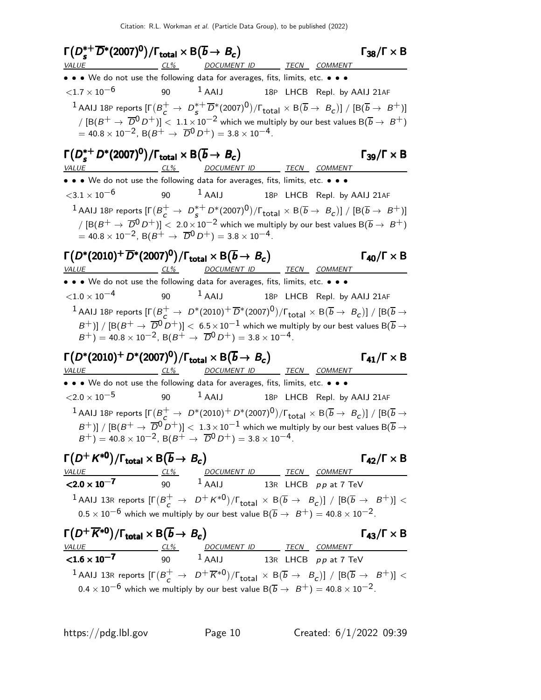$Γ(D_s^{*+})$  $\Gamma(D_s^{*+} \overline{D}^*(2007)^0)/\Gamma_{\text{total}} \times B(\overline{b} \to B_c)$  Γ<sub>38</sub>/Γ × Β  $\Gamma(D_s^{*+}\overline{D}^*(2007)^0)/\Gamma_{\text{total}} \times \text{B}(\overline{b} \to B_c)$   $\Gamma_{38}/\Gamma \times \text{B}$  $\Gamma_{38}/\Gamma \times B$ DOCUMENT ID TECN COMMENT • • • We do not use the following data for averages, fits, limits, etc. • • •  $\langle 1.7 \times 10^{-6}$  90 <sup>1</sup> AAIJ 18P LHCB Repl. by AAIJ 21AF  $^1$  AAIJ 18P reports  $[\Gamma(B_c^+ \rightarrow D_s^{*+})]$  $\frac{1}{\sqrt{2}}(\mathsf{1007})^0)/\Gamma_\mathsf{total}\times \mathsf{B}(\overline{b}\to~\mathsf{B}_\mathsf{C})] \; / \; [\mathsf{B}(\overline{b}\to~\mathsf{B}^+)]$  $\sqrt{[B(B^+ \rightarrow \overline{D}^0 D^+)]} < 1.1 \times 10^{-2}$  which we multiply by our best values  $B(\overline{b} \rightarrow B^+)$  $= 40.8 \times 10^{-2}$ , B( $B^+ \rightarrow \overline{D}^0 D^+$ ) = 3.8 × 10<sup>-4</sup>.  $Γ(D_s^{*+})$  $\Gamma(D_s^{*+}D^*(2007)^0)/\Gamma_{\text{total}} \times \mathsf{B}(\overline{b} \to B_c)$  Γ<sub>39</sub>/Γ × Β  $\Gamma_{39}/\Gamma \times B$ CL% DOCUMENT ID TECN COMMENT • • • We do not use the following data for averages, fits, limits, etc. • • •  $\langle 3.1 \times 10^{-6}$  90  $^1$  AAIJ 18P LHCB Repl. by AAIJ 21AF  $^1$  AAIJ 18P reports  $[\Gamma(B_c^+ \rightarrow D_s^{*+})]$  $\frac{1}{s} \mathcal{L}^* \mathcal{D}^*(2007)^0)/\Gamma_{\text{total}} \times \mathsf{B}(\overline{b} \rightarrow \ B_{\mathcal{C}})] \; / \; [\mathsf{B}(\overline{b} \rightarrow \ B^+)]$ /  $[ B(B^+ \rightarrow \overline{D}^0 D^+)] < 2.0 \times 10^{-2}$  which we multiply by our best values  $B(\overline{b} \rightarrow B^+)$  $= 40.8 \times 10^{-2}$ , B( $B^+ \rightarrow \overline{D}^0 D^+$ ) = 3.8 × 10<sup>-4</sup>. Γ $(D*(2010)+\overline{D}^*(2007)^0)/\Gamma_{\text{total}} \times \text{B}(\overline{b} \to B_c)$  Γ<sub>40</sub>/Γ × Β CL% DOCUMENT ID TECN COMMENT • • • We do not use the following data for averages, fits, limits, etc. • • •  $\langle 1.0 \times 10^{-4}$  90  $^1$  AAIJ 18P LHCB Repl. by AAIJ 21AF  $^1$  AAIJ 18P reports  $[\Gamma(\frac{B^+}{c} \to D^*(2010)^+ \overline{D}^*(2007)^0)/\Gamma_{\text{total}} \times B(\overline{b} \to B_c)]$  /  $[B(\overline{b} \to B)^* (\overline{b} \to B^* (\overline{b} \to B)^0]$  $(B^+)\]\,/\,[{\rm B}(B^+\to\,\,\overline{{D}^0}\,D^+)]<\,$  6.5 $\times 10^{-1}$  which we multiply by our best values B $(\overline{b}\to\,$  $(B^+) = 40.8 \times 10^{-2}$ ,  $B(B^+ \to \overline{D}^0 D^+) = 3.8 \times 10^{-4}$ .  $\Gamma(D^*(2010)^+ D^*(2007)^0)/\Gamma_{\text{total}} \times \mathsf{B}(\overline{b} \to B_c)$   $\qquad \qquad \Gamma_{41}/\Gamma \times \mathsf{B}$ Γ<sub>41</sub>/Γ  $\times$  Β VALUE CL% DOCUMENT ID TECN COMMENT • • • We do not use the following data for averages, fits, limits, etc. • • •  $\langle 2.0 \times 10^{-5}$  90  $^1$  AAIJ 18P LHCB Repl. by AAIJ 21AF  $^1$  AAIJ 18P reports  $[\Gamma(\frac{B^+}{c} \to D^*(2010)^+ D^*(2007)^0)/\Gamma_{\text{total}} \times B(\overline{b} \to B_c)]$  /  $[B(\overline{b} \to B)^*$  $B^+)]/$   $[B(B^+ \to \overline{D}^0 \overline{D}^+)] < 1.3 \times 10^{-1}$  which we multiply by our best values  ${\rm B}(\overline{b} \to \overline{D}^0 \overline{D}^+)$  $B^{+}$ ) = 40.8 × 10<sup>-2</sup>, B( $B^{+}$   $\rightarrow$   $\overline{D}^{0} D^{+}$ ) = 3.8 × 10<sup>-4</sup>.  $\Gamma(D^+ K^{*0})/\Gamma_{\text{total}} \times \text{B}(\overline{b} \to B_c)$   $\Gamma_{42}/\Gamma \times \text{B}$ VALUE CL% DOCUMENT ID TECN COMMENT  $\leq$ 2.0  $\times$  10<sup>-7</sup> 90 <sup>1</sup> AAIJ 13R LHCB pp at 7 TeV  $^1$  AAIJ 13R reports  $[\Gamma(B_c^+ \rightarrow D^+ K^{*0})/\Gamma_{\text{total}} \times B(\overline{b} \rightarrow B_c)] / [B(\overline{b} \rightarrow B^+)] <$  $0.5 \times 10^{-6}$  which we multiply by our best value B( $\overline{b} \rightarrow B^{+}$ ) = 40.8 × 10<sup>-2</sup>.  $\Gamma(D^+\overline{K}^{*0})/\Gamma_{\text{total}} \times \text{B}(\overline{b} \to B_c)$   $\Gamma_{43}/\Gamma \times \text{B}$ VALUE CL% DOCUMENT ID TECN COMMENT  $1.6 \times 10^{-7}$  90  $^{1}$  AAIJ 13R LHCB pp at 7 TeV  $^1$  AAIJ 13R reports  $[\Gamma(B_c^+ \to D^+\overline{K}{}^{*0})/\Gamma_{\rm total} \times B(\overline{b} \to B_c)]$  /  $[B(\overline{b} \to B^+)] <$  $0.4 \times 10^{-6}$  which we multiply by our best value B( $\overline{b} \rightarrow B^{+}$ ) = 40.8 × 10<sup>-2</sup>.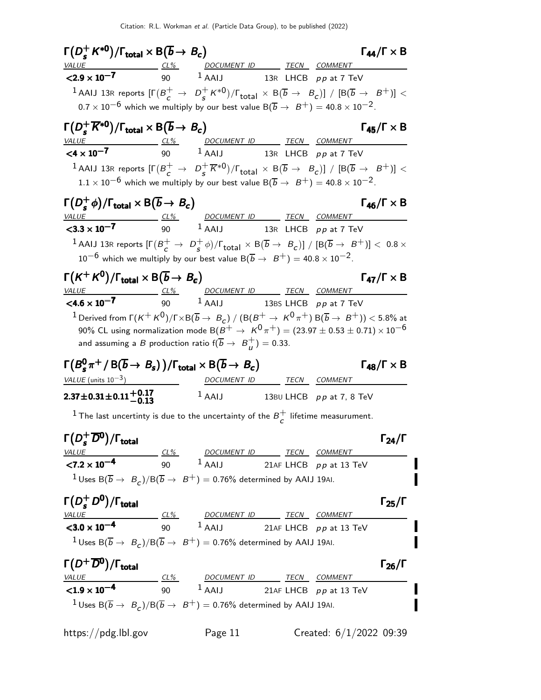|                                                                                                                                                                                                                                                                                                                                                                                                                                                                                                                                                               |                        | $\Gamma(D_c^+ K^{*0})/\Gamma_{\text{total}} \times B(\overline{b} \to B_c)$                                                                |                            |                           | $\Gamma_{44}/\Gamma \times B$                                        |
|---------------------------------------------------------------------------------------------------------------------------------------------------------------------------------------------------------------------------------------------------------------------------------------------------------------------------------------------------------------------------------------------------------------------------------------------------------------------------------------------------------------------------------------------------------------|------------------------|--------------------------------------------------------------------------------------------------------------------------------------------|----------------------------|---------------------------|----------------------------------------------------------------------|
| VALUE CL% DOCUMENT ID TECN COMMENT                                                                                                                                                                                                                                                                                                                                                                                                                                                                                                                            |                        |                                                                                                                                            |                            |                           |                                                                      |
| $< 2.9 \times 10^{-7}$                                                                                                                                                                                                                                                                                                                                                                                                                                                                                                                                        |                        | 90 $1$ AAIJ 13R LHCB $pp$ at 7 TeV                                                                                                         |                            |                           |                                                                      |
| <sup>1</sup> AAIJ 13R reports $[\Gamma(B_c^+ \to D_s^+ \kappa^{*0})/\Gamma_{\rm total} \times B(\overline{b} \to B_c)]$ / $[B(\overline{b} \to B^+)] <$                                                                                                                                                                                                                                                                                                                                                                                                       |                        |                                                                                                                                            |                            |                           |                                                                      |
| $0.7 \times 10^{-6}$ which we multiply by our best value B( $\overline{b} \rightarrow B^{+}$ ) = 40.8 $\times 10^{-2}$ .                                                                                                                                                                                                                                                                                                                                                                                                                                      |                        |                                                                                                                                            |                            |                           |                                                                      |
| $\Gamma(D_s^+\overline{K}^{*0})/\Gamma_{\text{total}} \times B(\overline{b} \to B_c)$                                                                                                                                                                                                                                                                                                                                                                                                                                                                         |                        |                                                                                                                                            |                            |                           | $\Gamma_{45}/\Gamma \times B$                                        |
| $\frac{VALUE}{\text{24} \times 10^{-7}}$ $\frac{CL\%}{90}$ $\frac{DOCUMENT ID}{1 AAIJ}$ $\frac{TECN}{13R}$ $\frac{COMMENT}{LHCB}$ $pp$ at 7 TeV                                                                                                                                                                                                                                                                                                                                                                                                               |                        |                                                                                                                                            |                            |                           |                                                                      |
|                                                                                                                                                                                                                                                                                                                                                                                                                                                                                                                                                               |                        |                                                                                                                                            |                            |                           |                                                                      |
| <sup>1</sup> AAIJ 13R reports $[\Gamma(B_c^+ \to D_s^+\overline{K}{}^{*0})/\Gamma_{\text{total}}\times B(\overline{b} \to B_c)]$ / $[B(\overline{b} \to B^+)]$ <                                                                                                                                                                                                                                                                                                                                                                                              |                        |                                                                                                                                            |                            |                           |                                                                      |
| $1.1 \times 10^{-6}$ which we multiply by our best value B $(\overline{b} \rightarrow \ B^{+}) = 40.8 \times 10^{-2}$ .                                                                                                                                                                                                                                                                                                                                                                                                                                       |                        |                                                                                                                                            |                            |                           |                                                                      |
| $\Gamma(D_s^+\phi)/\Gamma_{\text{total}} \times B(\overline{b} \to B_c)$                                                                                                                                                                                                                                                                                                                                                                                                                                                                                      |                        |                                                                                                                                            |                            |                           | $\Gamma_{46}/\Gamma \times B$                                        |
| <u>VALUE</u>                                                                                                                                                                                                                                                                                                                                                                                                                                                                                                                                                  |                        |                                                                                                                                            |                            |                           |                                                                      |
| $<$ 3.3 $\times$ 10 <sup>-7</sup>                                                                                                                                                                                                                                                                                                                                                                                                                                                                                                                             |                        | <u>CL%</u><br><u>DOCUMENT ID</u><br>1 AAIJ<br>13R LHCB <i>pp</i> at 7 TeV                                                                  |                            |                           |                                                                      |
| <sup>1</sup> AAIJ 13R reports $[\Gamma(B_{\substack{c}}^+ \to D_{\substack{c}}^+ \phi)/\Gamma_{\rm total} \times B(\overline{b} \to B_c)] / [B(\overline{b} \to B^+)] < 0.8 \times$                                                                                                                                                                                                                                                                                                                                                                           |                        |                                                                                                                                            |                            |                           |                                                                      |
| $10^{-6}$ which we multiply by our best value B( $\overline{b} \rightarrow B^{+}$ ) = 40.8 × 10 <sup>-2</sup> .                                                                                                                                                                                                                                                                                                                                                                                                                                               |                        |                                                                                                                                            |                            |                           |                                                                      |
| $\Gamma(K^+K^0)/\Gamma_{\text{total}} \times B(\overline{b} \to B_c)$                                                                                                                                                                                                                                                                                                                                                                                                                                                                                         |                        |                                                                                                                                            |                            |                           | $\Gamma_{47}/\Gamma \times B$                                        |
| <i>VALUE</i>                                                                                                                                                                                                                                                                                                                                                                                                                                                                                                                                                  |                        |                                                                                                                                            |                            |                           |                                                                      |
| $< 4.6 \times 10^{-7}$                                                                                                                                                                                                                                                                                                                                                                                                                                                                                                                                        |                        | <u>CL% DOCUMENT ID TECN COMMENT</u><br>90 1 AAIJ 13BS LHCB <i>pp</i> at 7 TeV                                                              |                            |                           |                                                                      |
| and assuming a B production ratio $f(\overline{b} \to B^+_{ii}) = 0.33$ .<br>$\Gamma(B_s^0 \pi^+ / B(\overline{b} \to B_s)) / \Gamma_{\text{total}} \times B(\overline{b} \to B_c)$                                                                                                                                                                                                                                                                                                                                                                           |                        |                                                                                                                                            |                            |                           | $\Gamma_{48}/\Gamma \times B$                                        |
| VALUE (units $10^{-3}$ )                                                                                                                                                                                                                                                                                                                                                                                                                                                                                                                                      | <u>and a strong to</u> |                                                                                                                                            |                            |                           |                                                                      |
|                                                                                                                                                                                                                                                                                                                                                                                                                                                                                                                                                               |                        |                                                                                                                                            | DOCUMENT ID TECN COMMENT   |                           |                                                                      |
|                                                                                                                                                                                                                                                                                                                                                                                                                                                                                                                                                               |                        | $1$ AAIJ                                                                                                                                   | 13BU LHCB $pp$ at 7, 8 TeV |                           |                                                                      |
| <sup>1</sup> The last uncertinty is due to the uncertainty of the $B_{\sub{c}}^{+}$ lifetime measurument.                                                                                                                                                                                                                                                                                                                                                                                                                                                     |                        |                                                                                                                                            |                            |                           |                                                                      |
|                                                                                                                                                                                                                                                                                                                                                                                                                                                                                                                                                               |                        |                                                                                                                                            |                            |                           |                                                                      |
|                                                                                                                                                                                                                                                                                                                                                                                                                                                                                                                                                               |                        |                                                                                                                                            |                            |                           |                                                                      |
|                                                                                                                                                                                                                                                                                                                                                                                                                                                                                                                                                               |                        |                                                                                                                                            |                            |                           |                                                                      |
| <sup>1</sup> Uses B( $\overline{b} \to B_c$ )/B( $\overline{b} \to B^+$ ) = 0.76% determined by AAIJ 19AI.                                                                                                                                                                                                                                                                                                                                                                                                                                                    |                        | $1$ AAIJ 21AF LHCB $pp$ at 13 TeV                                                                                                          |                            |                           |                                                                      |
|                                                                                                                                                                                                                                                                                                                                                                                                                                                                                                                                                               |                        |                                                                                                                                            |                            |                           |                                                                      |
|                                                                                                                                                                                                                                                                                                                                                                                                                                                                                                                                                               |                        |                                                                                                                                            |                            |                           |                                                                      |
|                                                                                                                                                                                                                                                                                                                                                                                                                                                                                                                                                               |                        |                                                                                                                                            |                            |                           |                                                                      |
|                                                                                                                                                                                                                                                                                                                                                                                                                                                                                                                                                               |                        |                                                                                                                                            |                            |                           |                                                                      |
| <sup>1</sup> Uses B( $\overline{b} \rightarrow B_c$ )/B( $\overline{b} \rightarrow B^+$ ) = 0.76% determined by AAIJ 19AI.                                                                                                                                                                                                                                                                                                                                                                                                                                    |                        |                                                                                                                                            |                            |                           |                                                                      |
|                                                                                                                                                                                                                                                                                                                                                                                                                                                                                                                                                               |                        |                                                                                                                                            |                            |                           |                                                                      |
|                                                                                                                                                                                                                                                                                                                                                                                                                                                                                                                                                               |                        |                                                                                                                                            |                            |                           |                                                                      |
|                                                                                                                                                                                                                                                                                                                                                                                                                                                                                                                                                               |                        | $\frac{CL\%}{10^{-4}}$ $\frac{DOCUMENT ID}{90}$ $\frac{TECN}{21AF}$ $\frac{COMMENT}{10}$ $\frac{7ECN}{p \cdot p}$ $\frac{COMMENT}{13}$ TeV |                            |                           |                                                                      |
| <sup>1</sup> Uses B( $\overline{b} \to B_c$ )/B( $\overline{b} \to B^+$ ) = 0.76% determined by AAIJ 19AI.                                                                                                                                                                                                                                                                                                                                                                                                                                                    |                        |                                                                                                                                            |                            |                           |                                                                      |
| $2.37 \pm 0.31 \pm 0.11 \pm 0.17$<br>-0.13<br>$\Gamma(D_s^+ \overline{D}{}^0)/\Gamma_{\rm total}$<br>$\frac{VALUE}{27.2 \times 10^{-4}}$ $\frac{CL\%}{90}$ $\frac{DOCUMENT ID}{1 \text{ AAIJ}}$ $\frac{TECN}{21AF LHCB}$ $\frac{COMMENT}{10 \text{ AAI}}$<br>$\Gamma(D_s^+D^0)/\Gamma_{\rm total}$<br>$\frac{VALUE}{0.0 \times 10^{-4}}$ $\frac{CL\%}{90}$ $\frac{DOCUMENT ID}{AAIJ}$ $\frac{TECN}{21AF}$ $\frac{COMMENT}{LHCB}$ $pp$ at 13 TeV<br>$\Gamma(D^+\overline{D^0})/\Gamma_{\rm total}$<br>$<$ 1.9 $\times$ 10 <sup>-4</sup><br>https://pdg.lbl.gov |                        | Page 11                                                                                                                                    |                            | Created: $6/1/2022$ 09:39 | $\Gamma_{24}/\Gamma$<br>$\Gamma_{25}/\Gamma$<br>$\Gamma_{26}/\Gamma$ |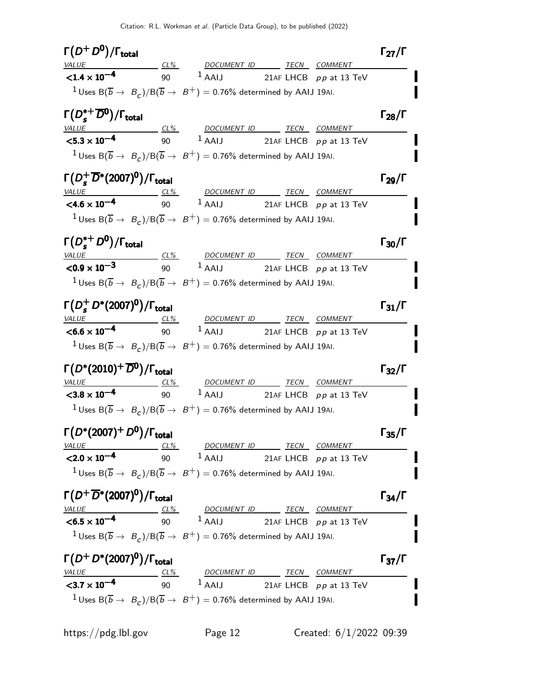| $\Gamma(D^+D^0)/\Gamma_{\rm total}$                                                                                                                                                                                                                       |                                                                                                                                                                                                                                                                                                                           |  | $\Gamma_{27}/\Gamma$                                                                         |
|-----------------------------------------------------------------------------------------------------------------------------------------------------------------------------------------------------------------------------------------------------------|---------------------------------------------------------------------------------------------------------------------------------------------------------------------------------------------------------------------------------------------------------------------------------------------------------------------------|--|----------------------------------------------------------------------------------------------|
|                                                                                                                                                                                                                                                           |                                                                                                                                                                                                                                                                                                                           |  |                                                                                              |
|                                                                                                                                                                                                                                                           | VALUE CL <sup>9</sup> OOCUMENT ID TECN COMMENT<br><b>CL4 x 10<sup>-4</sup></b> 90 <sup>1</sup> AAIJ 21AF LHCB <i>pp</i> at 13 TeV                                                                                                                                                                                         |  |                                                                                              |
|                                                                                                                                                                                                                                                           | <sup>1</sup> Uses B( $\overline{b} \to B_c$ )/B( $\overline{b} \to B^+$ ) = 0.76% determined by AAIJ 19AI.                                                                                                                                                                                                                |  |                                                                                              |
| $\Gamma(D_s^{*+}\overline{D}^0)/\Gamma_{\rm total}$                                                                                                                                                                                                       |                                                                                                                                                                                                                                                                                                                           |  | $\Gamma_{28}/\Gamma$                                                                         |
|                                                                                                                                                                                                                                                           |                                                                                                                                                                                                                                                                                                                           |  |                                                                                              |
|                                                                                                                                                                                                                                                           | $\frac{VALUE}{5.3 \times 10^{-4}}$ $\frac{CL\%}{90}$ $\frac{DOCUMENT ID}{1$ AAIJ 21AF LHCB pp at 13 TeV                                                                                                                                                                                                                   |  |                                                                                              |
|                                                                                                                                                                                                                                                           | <sup>1</sup> Uses B( $\overline{b} \to B_c$ )/B( $\overline{b} \to B^+$ ) = 0.76% determined by AAIJ 19AI.                                                                                                                                                                                                                |  |                                                                                              |
| $\Gamma(D_s^+\overline{D}{}^*(2007)^0)/\Gamma_{\rm total}$                                                                                                                                                                                                |                                                                                                                                                                                                                                                                                                                           |  | $\Gamma_{29}/\Gamma$                                                                         |
|                                                                                                                                                                                                                                                           |                                                                                                                                                                                                                                                                                                                           |  |                                                                                              |
|                                                                                                                                                                                                                                                           | $\frac{VALUE}{24.6 \times 10^{-4}}$ $\frac{CL\%}{90}$ $\frac{DOCUMENT ID}{1}$ $\frac{TECN}{21AF}$ $\frac{COMMENT}{LHCB}$ $pp$ at 13 TeV                                                                                                                                                                                   |  |                                                                                              |
|                                                                                                                                                                                                                                                           | <sup>1</sup> Uses B( $\overline{b} \to B_c$ )/B( $\overline{b} \to B^+$ ) = 0.76% determined by AAIJ 19AI.                                                                                                                                                                                                                |  |                                                                                              |
| $\Gamma(D_s^{*+}D^0)/\Gamma_{\rm total}$                                                                                                                                                                                                                  |                                                                                                                                                                                                                                                                                                                           |  | $\Gamma_{30}/\Gamma$                                                                         |
|                                                                                                                                                                                                                                                           | $\frac{VALUE}{0.9 \times 10^{-3}}$ $\frac{CL\%}{90}$ $\frac{DOCUMENT ID}{1 AAIJ}$ $\frac{TECN}{21AF}$ $\frac{COMMENT}{100}$ $\frac{TDEN}{100}$ $\frac{TDEN}{100}$ $\frac{TDEN}{100}$ $\frac{TDEN}{100}$ $\frac{TDEN}{100}$ $\frac{TDEN}{100}$ $\frac{TDEN}{100}$ $\frac{TDEN}{100}$ $\frac{TDEN}{100}$ $\frac{TDEN}{100}$ |  |                                                                                              |
|                                                                                                                                                                                                                                                           |                                                                                                                                                                                                                                                                                                                           |  |                                                                                              |
|                                                                                                                                                                                                                                                           | <sup>1</sup> Uses B( $\overline{b} \to B_c$ )/B( $\overline{b} \to B^+$ ) = 0.76% determined by AAIJ 19AI.                                                                                                                                                                                                                |  |                                                                                              |
| $\Gamma(D_s^+ D^*(2007)^0)/\Gamma_{\rm total}$                                                                                                                                                                                                            |                                                                                                                                                                                                                                                                                                                           |  | $\Gamma_{31}/\Gamma$                                                                         |
|                                                                                                                                                                                                                                                           |                                                                                                                                                                                                                                                                                                                           |  |                                                                                              |
|                                                                                                                                                                                                                                                           |                                                                                                                                                                                                                                                                                                                           |  |                                                                                              |
|                                                                                                                                                                                                                                                           | $\frac{VALUE}{0.6 \times 10^{-4}}$ $\frac{CL\%}{90}$ $\frac{DOCUMENT ID}{1 AAIJ}$ $\frac{TECN}{21AF}$ $\frac{COMMENT}{LHCB}$ $pp$ at 13 TeV                                                                                                                                                                               |  |                                                                                              |
|                                                                                                                                                                                                                                                           | <sup>1</sup> Uses B $(\overline{b} \rightarrow B_c)/B(\overline{b} \rightarrow B^+) = 0.76\%$ determined by AAIJ 19AI.                                                                                                                                                                                                    |  |                                                                                              |
|                                                                                                                                                                                                                                                           |                                                                                                                                                                                                                                                                                                                           |  |                                                                                              |
|                                                                                                                                                                                                                                                           | VALUE CL% DOCUMENT ID TECN COMMENT                                                                                                                                                                                                                                                                                        |  |                                                                                              |
|                                                                                                                                                                                                                                                           | $\overline{3.8 \times 10^{-4}}$ $\overline{90}$ $1 \overline{AAlJ}$ 21AF LHCB pp at 13 TeV                                                                                                                                                                                                                                |  |                                                                                              |
|                                                                                                                                                                                                                                                           | <sup>1</sup> Uses B( $\overline{b} \to B_c$ )/B( $\overline{b} \to B^+$ ) = 0.76% determined by AAIJ 19AI.                                                                                                                                                                                                                |  |                                                                                              |
|                                                                                                                                                                                                                                                           |                                                                                                                                                                                                                                                                                                                           |  |                                                                                              |
|                                                                                                                                                                                                                                                           |                                                                                                                                                                                                                                                                                                                           |  |                                                                                              |
|                                                                                                                                                                                                                                                           | $\frac{VALUE}{2.0 \times 10^{-4}}$ $\frac{CL\%}{90}$ $\frac{DOCUMENT ID}{AAIJ}$ $\frac{TECN}{21AF}$ $\frac{COMMENT}{P \times 13}$ TeV                                                                                                                                                                                     |  |                                                                                              |
|                                                                                                                                                                                                                                                           | <sup>1</sup> Uses B( $\overline{b} \rightarrow B_c$ )/B( $\overline{b} \rightarrow B^+$ ) = 0.76% determined by AAIJ 19AI.                                                                                                                                                                                                |  |                                                                                              |
|                                                                                                                                                                                                                                                           |                                                                                                                                                                                                                                                                                                                           |  |                                                                                              |
|                                                                                                                                                                                                                                                           |                                                                                                                                                                                                                                                                                                                           |  |                                                                                              |
|                                                                                                                                                                                                                                                           | $\frac{VALUE}{0.5 \times 10^{-4}}$ $\frac{CL\%}{90}$ $\frac{DOCUMENT ID}{1 AAIJ}$ $\frac{TECN}{21AF}$ $\frac{COMMENT}{P \rho}$ at 13 TeV                                                                                                                                                                                  |  |                                                                                              |
|                                                                                                                                                                                                                                                           | <sup>1</sup> Uses B( $\overline{b} \to B_c$ )/B( $\overline{b} \to B^+$ ) = 0.76% determined by AAIJ 19AI.                                                                                                                                                                                                                |  |                                                                                              |
|                                                                                                                                                                                                                                                           |                                                                                                                                                                                                                                                                                                                           |  |                                                                                              |
| $\Gamma(D^*(2010)^+\overline{D^0})/\Gamma_{\text{total}}$<br>$\Gamma(D^*(2007)^+ D^0)/\Gamma_{\rm total}$<br>$\Gamma(D^+\overline{D}{}^*(2007)^0)/\Gamma_{\rm total}$<br>$\Gamma(D^+D^*(2007)^0)/\Gamma_{\rm total}$<br>$<$ 3.7 $\times$ 10 <sup>-4</sup> | $\frac{CL\%}{10^{-4}}$ $\frac{DOCUMENT ID}{90}$ $\frac{TECN}{21AF LHCB}$ $\frac{COMMENT}{PP at 13 TeV}$                                                                                                                                                                                                                   |  | $\Gamma_{32}/\Gamma$<br>$\Gamma_{35}/\Gamma$<br>$\Gamma_{34}/\Gamma$<br>$\Gamma_{37}/\Gamma$ |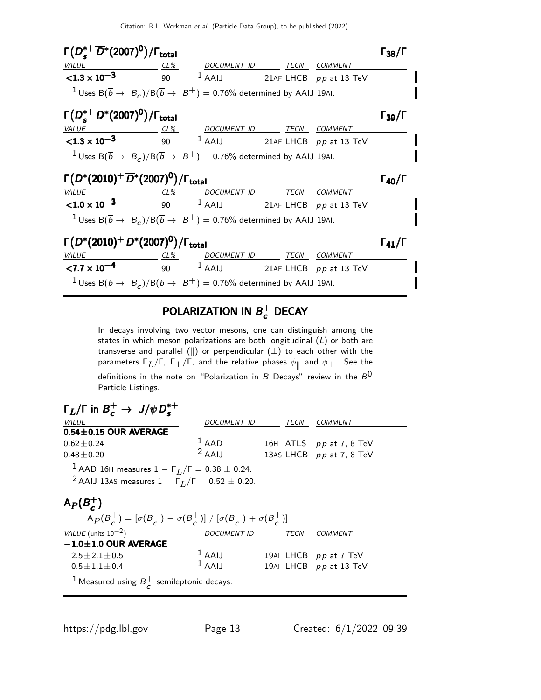

#### POLARIZATION IN  $B^+$  $_{c}^{+}$  Decay

In decays involving two vector mesons, one can distinguish among the states in which meson polarizations are both longitudinal  $(L)$  or both are transverse and parallel ( $\parallel$ ) or perpendicular ( $\perp$ ) to each other with the parameters  $\mathsf{\Gamma}_L / \mathsf{\Gamma}$ ,  $\mathsf{\Gamma}_\bot / \mathsf{\Gamma}$ , and the relative phases  $\phi_\parallel$  and  $\phi_\bot.$  See the definitions in the note on "Polarization in B Decays" review in the  $B^0$ Particle Listings.

| $\Gamma_L/\Gamma$ in $B_c^+ \to J/\psi D_s^{*+}$                                                                                                 |                    |  |      |                          |  |  |  |
|--------------------------------------------------------------------------------------------------------------------------------------------------|--------------------|--|------|--------------------------|--|--|--|
| <i>VALUE</i>                                                                                                                                     | DOCUMENT ID        |  | TECN | <b>COMMENT</b>           |  |  |  |
| $0.54 \pm 0.15$ OUR AVERAGE                                                                                                                      |                    |  |      |                          |  |  |  |
| $0.62 + 0.24$                                                                                                                                    | $1$ AAD            |  |      | 16H ATLS pp at 7, 8 TeV  |  |  |  |
| $0.48 \pm 0.20$                                                                                                                                  | $2$ AAIJ           |  |      | 13AS LHCB pp at 7, 8 TeV |  |  |  |
| <sup>1</sup> AAD 16H measures $1 - \Gamma_L/\Gamma = 0.38 \pm 0.24$ .<br><sup>2</sup> AAIJ 13AS measures $1 - \Gamma_L/\Gamma = 0.52 \pm 0.20$ . |                    |  |      |                          |  |  |  |
| $A_P(B_c^+)$<br>$A_P(B_{\zeta}^+) = [\sigma(B_{\zeta}^-) - \sigma(B_{\zeta}^+)] / [\sigma(B_{\zeta}^-) + \sigma(B_{\zeta}^+)]$                   |                    |  |      |                          |  |  |  |
| VALUE (units $10^{-2}$ )                                                                                                                         | <b>DOCUMENT ID</b> |  | TECN | <b>COMMENT</b>           |  |  |  |
| $-1.0 \pm 1.0$ OUR AVERAGE                                                                                                                       |                    |  |      |                          |  |  |  |
| $-2.5 \pm 2.1 \pm 0.5$                                                                                                                           | $1$ AAIJ           |  |      | 19AI LHCB pp at 7 TeV    |  |  |  |
| $-0.5 \pm 1.1 \pm 0.4$                                                                                                                           | $1$ AAIJ           |  |      | 19AI LHCB pp at 13 TeV   |  |  |  |
| <sup>1</sup> Measured using $B_{\subset}^+$ semileptonic decays.                                                                                 |                    |  |      |                          |  |  |  |